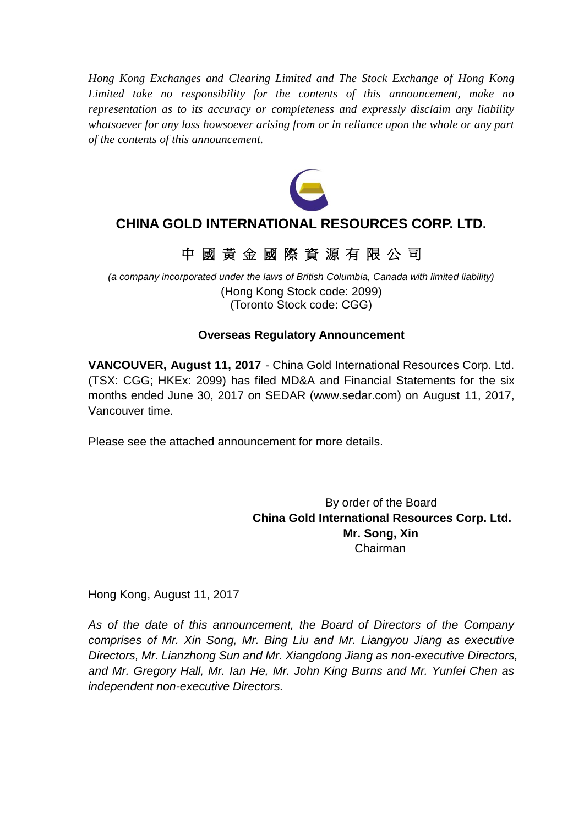*Hong Kong Exchanges and Clearing Limited and The Stock Exchange of Hong Kong Limited take no responsibility for the contents of this announcement, make no representation as to its accuracy or completeness and expressly disclaim any liability whatsoever for any loss howsoever arising from or in reliance upon the whole or any part of the contents of this announcement.*



# **CHINA GOLD INTERNATIONAL RESOURCES CORP. LTD.**

# 中 國 黃 金 國 際 資 源 有 限 公 司

*(a company incorporated under the laws of British Columbia, Canada with limited liability)* (Hong Kong Stock code: 2099) (Toronto Stock code: CGG)

# **Overseas Regulatory Announcement**

**VANCOUVER, August 11, 2017** - China Gold International Resources Corp. Ltd. (TSX: CGG; HKEx: 2099) has filed MD&A and Financial Statements for the six months ended June 30, 2017 on SEDAR (www.sedar.com) on August 11, 2017, Vancouver time.

Please see the attached announcement for more details.

By order of the Board **China Gold International Resources Corp. Ltd. Mr. Song, Xin** Chairman

Hong Kong, August 11, 2017

*As of the date of this announcement, the Board of Directors of the Company comprises of Mr. Xin Song, Mr. Bing Liu and Mr. Liangyou Jiang as executive Directors, Mr. Lianzhong Sun and Mr. Xiangdong Jiang as non-executive Directors, and Mr. Gregory Hall, Mr. Ian He, Mr. John King Burns and Mr. Yunfei Chen as independent non-executive Directors.*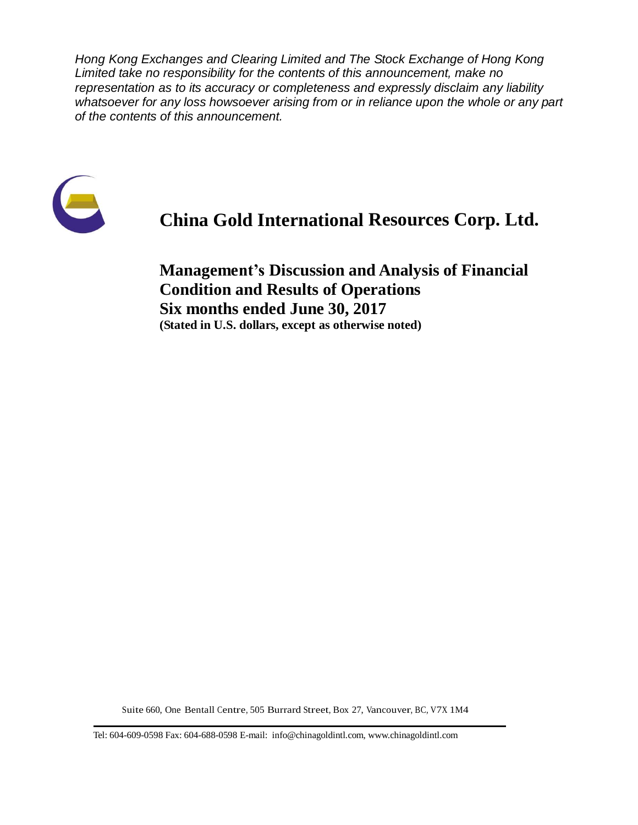*Hong Kong Exchanges and Clearing Limited and The Stock Exchange of Hong Kong Limited take no responsibility for the contents of this announcement, make no representation as to its accuracy or completeness and expressly disclaim any liability whatsoever for any loss howsoever arising from or in reliance upon the whole or any part of the contents of this announcement.*



# **China Gold International Resources Corp. Ltd.**

**Management's Discussion and Analysis of Financial Condition and Results of Operations Six months ended June 30, 2017 (Stated in U.S. dollars, except as otherwise noted)**

Suite 660, One Bentall Centre, 505 Burrard Street, Box 27, Vancouver, BC, V7X 1M4

Tel: 604-609-0598 Fax: 604-688-0598 E-mail: info@chinagoldintl.com, [www.chinagoldintl.com](http://www.chinagoldintl.com/)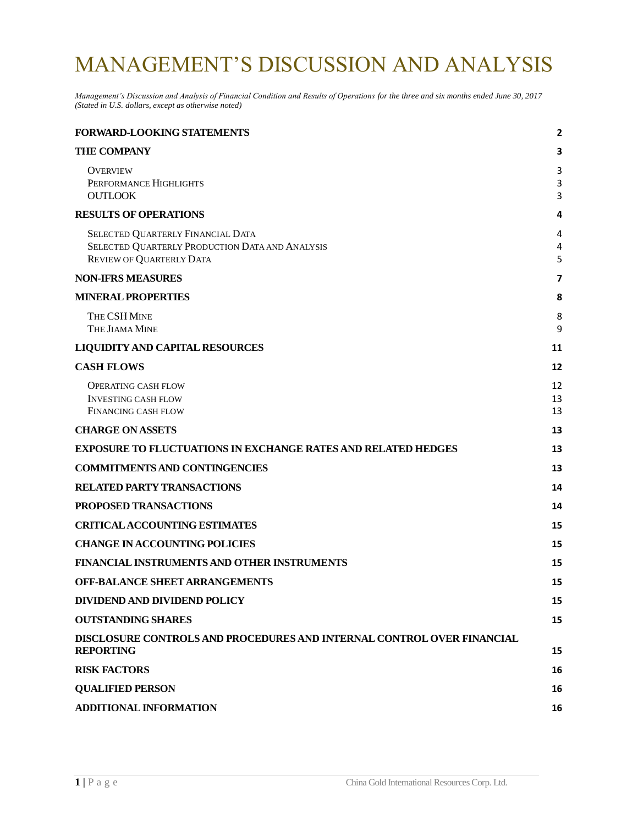# MANAGEMENT'S DISCUSSION AND ANALYSIS

*Management's Discussion and Analysis of Financial Condition and Results of Operations for the three and six months ended June 30, 2017 (Stated in U.S. dollars, except as otherwise noted)*

| FORWARD-LOOKING STATEMENTS                                                                                       | 2              |
|------------------------------------------------------------------------------------------------------------------|----------------|
| <b>THE COMPANY</b>                                                                                               | З              |
| OVERVIEW<br>PERFORMANCE HIGHLIGHTS<br><b>OUTLOOK</b>                                                             | 3<br>3<br>3    |
| <b>RESULTS OF OPERATIONS</b>                                                                                     | 4              |
| SELECTED QUARTERLY FINANCIAL DATA<br>SELECTED QUARTERLY PRODUCTION DATA AND ANALYSIS<br>REVIEW OF QUARTERLY DATA | 4<br>4<br>5    |
| <b>NON-IFRS MEASURES</b>                                                                                         | 7              |
| <b>MINERAL PROPERTIES</b>                                                                                        | 8              |
| THE CSH MINE<br>THE JIAMA MINE                                                                                   | 8<br>9         |
| <b>LIQUIDITY AND CAPITAL RESOURCES</b>                                                                           | 11             |
| <b>CASH FLOWS</b>                                                                                                | 12             |
| <b>OPERATING CASH FLOW</b><br><b>INVESTING CASH FLOW</b><br><b>FINANCING CASH FLOW</b>                           | 12<br>13<br>13 |
| <b>CHARGE ON ASSETS</b>                                                                                          | 13             |
| <b>EXPOSURE TO FLUCTUATIONS IN EXCHANGE RATES AND RELATED HEDGES</b>                                             | 13             |
| <b>COMMITMENTS AND CONTINGENCIES</b>                                                                             | 13             |
| <b>RELATED PARTY TRANSACTIONS</b>                                                                                | 14             |
| PROPOSED TRANSACTIONS                                                                                            | 14             |
| <b>CRITICAL ACCOUNTING ESTIMATES</b>                                                                             | 15             |
| <b>CHANGE IN ACCOUNTING POLICIES</b>                                                                             | 15             |
| FINANCIAL INSTRUMENTS AND OTHER INSTRUMENTS                                                                      | 15             |
| <b>OFF-BALANCE SHEET ARRANGEMENTS</b>                                                                            | 15             |
| DIVIDEND AND DIVIDEND POLICY                                                                                     | 15             |
| <b>OUTSTANDING SHARES</b>                                                                                        | 15             |
| DISCLOSURE CONTROLS AND PROCEDURES AND INTERNAL CONTROL OVER FINANCIAL<br><b>REPORTING</b>                       | 15             |
| <b>RISK FACTORS</b>                                                                                              | 16             |
| <b>QUALIFIED PERSON</b>                                                                                          | 16             |
| <b>ADDITIONAL INFORMATION</b>                                                                                    | 16             |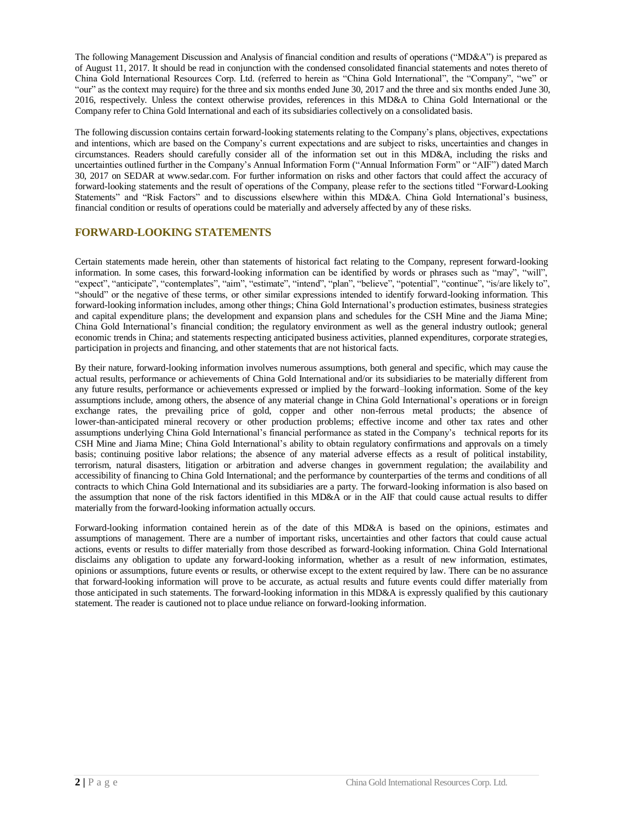The following Management Discussion and Analysis of financial condition and results of operations ("MD&A") is prepared as of August 11, 2017. It should be read in conjunction with the condensed consolidated financial statements and notes thereto of China Gold International Resources Corp. Ltd. (referred to herein as "China Gold International", the "Company", "we" or "our" as the context may require) for the three and six months ended June 30, 2017 and the three and six months ended June 30, 2016, respectively. Unless the context otherwise provides, references in this MD&A to China Gold International or the Company refer to China Gold International and each of its subsidiaries collectively on a consolidated basis.

The following discussion contains certain forward-looking statements relating to the Company's plans, objectives, expectations and intentions, which are based on the Company's current expectations and are subject to risks, uncertainties and changes in circumstances. Readers should carefully consider all of the information set out in this MD&A, including the risks and uncertainties outlined further in the Company's Annual Information Form ("Annual Information Form" or "AIF") dated March 30, 2017 on SEDAR at www.sedar.com. For further information on risks and other factors that could affect the accuracy of forward-looking statements and the result of operations of the Company, please refer to the sections titled "Forward-Looking Statements" and "Risk Factors" and to discussions elsewhere within this MD&A. China Gold International's business, financial condition or results of operations could be materially and adversely affected by any of these risks.

## <span id="page-3-0"></span>**FORWARD-LOOKING STATEMENTS**

Certain statements made herein, other than statements of historical fact relating to the Company, represent forward-looking information. In some cases, this forward-looking information can be identified by words or phrases such as "may", "will", "expect", "anticipate", "contemplates", "aim", "estimate", "intend", "plan", "believe", "potential", "continue", "is/are likely to", "should" or the negative of these terms, or other similar expressions intended to identify forward-looking information. This forward-looking information includes, among other things; China Gold International's production estimates, business strategies and capital expenditure plans; the development and expansion plans and schedules for the CSH Mine and the Jiama Mine; China Gold International's financial condition; the regulatory environment as well as the general industry outlook; general economic trends in China; and statements respecting anticipated business activities, planned expenditures, corporate strategies, participation in projects and financing, and other statements that are not historical facts.

By their nature, forward-looking information involves numerous assumptions, both general and specific, which may cause the actual results, performance or achievements of China Gold International and/or its subsidiaries to be materially different from any future results, performance or achievements expressed or implied by the forward–looking information. Some of the key assumptions include, among others, the absence of any material change in China Gold International's operations or in foreign exchange rates, the prevailing price of gold, copper and other non-ferrous metal products; the absence of lower-than-anticipated mineral recovery or other production problems; effective income and other tax rates and other assumptions underlying China Gold International's financial performance as stated in the Company's technical reports for its CSH Mine and Jiama Mine; China Gold International's ability to obtain regulatory confirmations and approvals on a timely basis; continuing positive labor relations; the absence of any material adverse effects as a result of political instability, terrorism, natural disasters, litigation or arbitration and adverse changes in government regulation; the availability and accessibility of financing to China Gold International; and the performance by counterparties of the terms and conditions of all contracts to which China Gold International and its subsidiaries are a party. The forward-looking information is also based on the assumption that none of the risk factors identified in this MD&A or in the AIF that could cause actual results to differ materially from the forward-looking information actually occurs.

Forward-looking information contained herein as of the date of this MD&A is based on the opinions, estimates and assumptions of management. There are a number of important risks, uncertainties and other factors that could cause actual actions, events or results to differ materially from those described as forward-looking information. China Gold International disclaims any obligation to update any forward-looking information, whether as a result of new information, estimates, opinions or assumptions, future events or results, or otherwise except to the extent required by law. There can be no assurance that forward-looking information will prove to be accurate, as actual results and future events could differ materially from those anticipated in such statements. The forward-looking information in this MD&A is expressly qualified by this cautionary statement. The reader is cautioned not to place undue reliance on forward-looking information.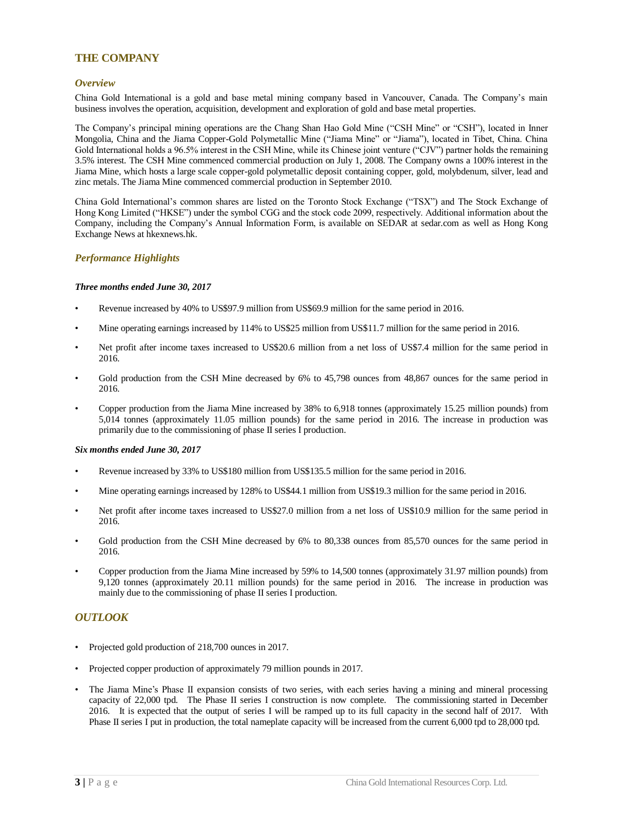## <span id="page-4-0"></span>**THE COMPANY**

#### <span id="page-4-1"></span>*Overview*

China Gold International is a gold and base metal mining company based in Vancouver, Canada. The Company's main business involves the operation, acquisition, development and exploration of gold and base metal properties.

The Company's principal mining operations are the Chang Shan Hao Gold Mine ("CSH Mine" or "CSH"), located in Inner Mongolia, China and the Jiama Copper-Gold Polymetallic Mine ("Jiama Mine" or "Jiama"), located in Tibet, China. China Gold International holds a 96.5% interest in the CSH Mine, while its Chinese joint venture ("CJV") partner holds the remaining 3.5% interest. The CSH Mine commenced commercial production on July 1, 2008. The Company owns a 100% interest in the Jiama Mine, which hosts a large scale copper-gold polymetallic deposit containing copper, gold, molybdenum, silver, lead and zinc metals. The Jiama Mine commenced commercial production in September 2010.

China Gold International's common shares are listed on the Toronto Stock Exchange ("TSX") and The Stock Exchange of Hong Kong Limited ("HKSE") under the symbol CGG and the stock code 2099, respectively. Additional information about the Company, including the Company's Annual Information Form, is available on SEDAR at sedar.com as well as Hong Kong Exchange News at hkexnews.hk.

#### <span id="page-4-2"></span>*Performance Highlights*

#### *Three months ended June 30, 2017*

- Revenue increased by 40% to US\$97.9 million from US\$69.9 million for the same period in 2016.
- Mine operating earnings increased by 114% to US\$25 million from US\$11.7 million for the same period in 2016.
- Net profit after income taxes increased to US\$20.6 million from a net loss of US\$7.4 million for the same period in 2016.
- Gold production from the CSH Mine decreased by 6% to 45,798 ounces from 48,867 ounces for the same period in 2016.
- Copper production from the Jiama Mine increased by 38% to 6,918 tonnes (approximately 15.25 million pounds) from 5,014 tonnes (approximately 11.05 million pounds) for the same period in 2016. The increase in production was primarily due to the commissioning of phase II series I production.

#### *Six months ended June 30, 2017*

- Revenue increased by 33% to US\$180 million from US\$135.5 million for the same period in 2016.
- Mine operating earnings increased by 128% to US\$44.1 million from US\$19.3 million for the same period in 2016.
- Net profit after income taxes increased to US\$27.0 million from a net loss of US\$10.9 million for the same period in 2016.
- Gold production from the CSH Mine decreased by 6% to 80,338 ounces from 85,570 ounces for the same period in 2016.
- Copper production from the Jiama Mine increased by 59% to 14,500 tonnes (approximately 31.97 million pounds) from 9,120 tonnes (approximately 20.11 million pounds) for the same period in 2016. The increase in production was mainly due to the commissioning of phase II series I production.

#### <span id="page-4-3"></span>*OUTLOOK*

- Projected gold production of 218,700 ounces in 2017.
- Projected copper production of approximately 79 million pounds in 2017.
- The Jiama Mine's Phase II expansion consists of two series, with each series having a mining and mineral processing capacity of 22,000 tpd. The Phase II series I construction is now complete. The commissioning started in December 2016. It is expected that the output of series I will be ramped up to its full capacity in the second half of 2017. With Phase II series I put in production, the total nameplate capacity will be increased from the current 6,000 tpd to 28,000 tpd.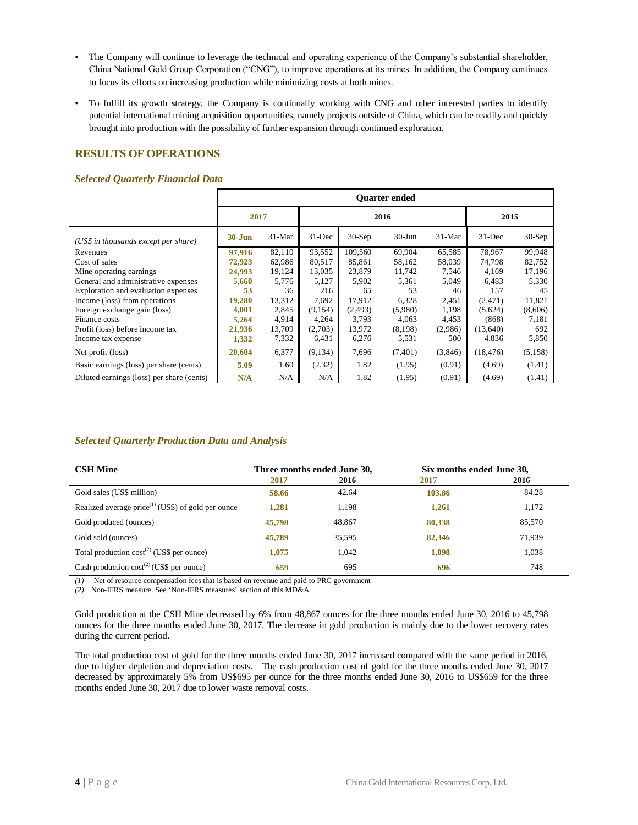- The Company will continue to leverage the technical and operating experience of the Company's substantial shareholder, China National Gold Group Corporation ("CNG"), to improve operations at its mines. In addition, the Company continues to focus its efforts on increasing production while minimizing costs at both mines.
- To fulfill its growth strategy, the Company is continually working with CNG and other interested parties to identify potential international mining acquisition opportunities, namely projects outside of China, which can be readily and quickly brought into production with the possibility of further expansion through continued exploration.

## <span id="page-5-0"></span>**RESULTS OF OPERATIONS**

#### <span id="page-5-1"></span>*Selected Quarterly Financial Data*

|                                           | <b>Ouarter ended</b> |          |            |          |           |          |            |          |  |
|-------------------------------------------|----------------------|----------|------------|----------|-----------|----------|------------|----------|--|
|                                           | 2017                 |          |            |          | 2016      |          |            | 2015     |  |
| (US\$ in thousands except per share)      | $30 - Jun$           | $31-Mar$ | $31 - Dec$ | $30-Sep$ | $30-J$ un | $31-Mar$ | $31 - Dec$ | $30-Sep$ |  |
| Revenues                                  | 97,916               | 82,110   | 93,552     | 109,560  | 69,904    | 65,585   | 78.967     | 99,948   |  |
| Cost of sales                             | 72,923               | 62,986   | 80,517     | 85,861   | 58,162    | 58,039   | 74,798     | 82,752   |  |
| Mine operating earnings.                  | 24,993               | 19,124   | 13,035     | 23,879   | 11,742    | 7,546    | 4.169      | 17,196   |  |
| General and administrative expenses       | 5,660                | 5,776    | 5,127      | 5,902    | 5,361     | 5,049    | 6.483      | 5.330    |  |
| Exploration and evaluation expenses       | 53                   | 36       | 216        | 65       | 53        | 46       | 157        | 45       |  |
| Income (loss) from operations             | 19,280               | 13,312   | 7,692      | 17,912   | 6,328     | 2,451    | (2,471)    | 11,821   |  |
| Foreign exchange gain (loss)              | 4,001                | 2,845    | (9,154)    | (2, 493) | (5,980)   | 1,198    | (5,624)    | (8,606)  |  |
| Finance costs                             | 5,264                | 4,914    | 4,264      | 3,793    | 4,063     | 4,453    | (868)      | 7,181    |  |
| Profit (loss) before income tax           | 21,936               | 13,709   | (2,703)    | 13,972   | (8,198)   | (2,986)  | (13,640)   | 692      |  |
| Income tax expense                        | 1,332                | 7,332    | 6,431      | 6,276    | 5,531     | 500      | 4,836      | 5,850    |  |
| Net profit (loss)                         | 20,604               | 6,377    | (9,134)    | 7,696    | (7,401)   | (3,846)  | (18, 476)  | (5,158)  |  |
| Basic earnings (loss) per share (cents)   | 5.09                 | 1.60     | (2.32)     | 1.82     | (1.95)    | (0.91)   | (4.69)     | (1.41)   |  |
| Diluted earnings (loss) per share (cents) | N/A                  | N/A      | N/A        | 1.82     | (1.95)    | (0.91)   | (4.69)     | (1.41)   |  |

#### <span id="page-5-2"></span>*Selected Quarterly Production Data and Analysis*

| <b>CSH Mine</b>                                         |        | Three months ended June 30, | Six months ended June 30, |        |
|---------------------------------------------------------|--------|-----------------------------|---------------------------|--------|
|                                                         | 2017   | 2016                        | 2017                      | 2016   |
| Gold sales (US\$ million)                               | 58.66  | 42.64                       | 103.86                    | 84.28  |
| Realized average $price^{(1)}$ (US\$) of gold per ounce | 1.281  | 1,198                       | 1,261                     | 1,172  |
| Gold produced (ounces)                                  | 45,798 | 48,867                      | 80,338                    | 85,570 |
| Gold sold (ounces)                                      | 45,789 | 35,595                      | 82,346                    | 71,939 |
| Total production $cost^{(2)}$ (US\$ per ounce)          | 1.075  | 1.042                       | 1,098                     | 1,038  |
| Cash production $cost^{(2)}$ (US\$ per ounce)           | 659    | 695                         | 696                       | 748    |

*(1)* Net of resource compensation fees that is based on revenue and paid to PRC government

*(2)* Non-IFRS measure. See 'Non-IFRS measures' section of this MD&A

Gold production at the CSH Mine decreased by 6% from 48,867 ounces for the three months ended June 30, 2016 to 45,798 ounces for the three months ended June 30, 2017. The decrease in gold production is mainly due to the lower recovery rates during the current period.

The total production cost of gold for the three months ended June 30, 2017 increased compared with the same period in 2016, due to higher depletion and depreciation costs. The cash production cost of gold for the three months ended June 30, 2017 decreased by approximately 5% from US\$695 per ounce for the three months ended June 30, 2016 to US\$659 for the three months ended June 30, 2017 due to lower waste removal costs.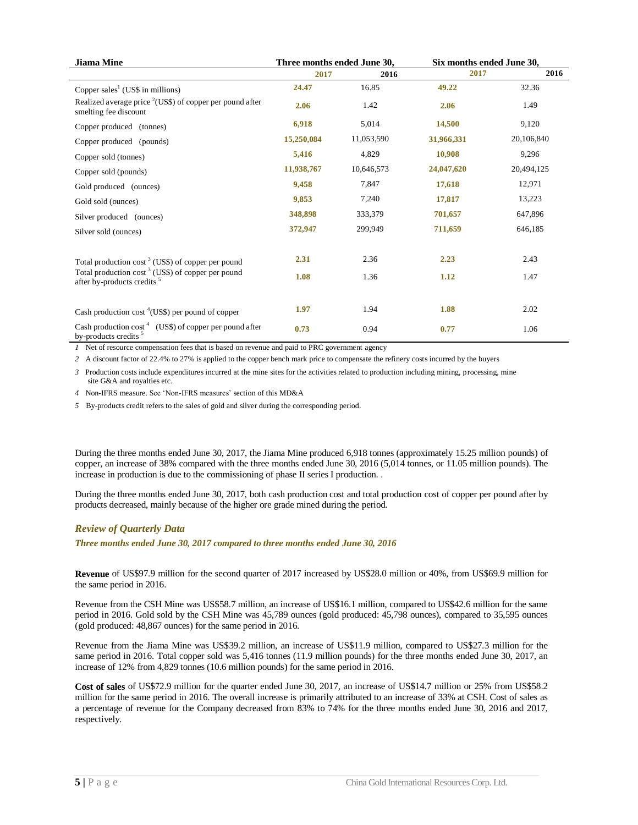| <b>Jiama Mine</b>                                                                                       | Three months ended June 30, |            | Six months ended June 30, |            |  |
|---------------------------------------------------------------------------------------------------------|-----------------------------|------------|---------------------------|------------|--|
|                                                                                                         | 2017                        | 2016       | 2017                      | 2016       |  |
| Copper sales <sup>1</sup> (US\$ in millions)                                                            | 24.47                       | 16.85      | 49.22                     | 32.36      |  |
| Realized average price $2$ (US\$) of copper per pound after<br>smelting fee discount                    | 2.06                        | 1.42       | 2.06                      | 1.49       |  |
| Copper produced (tonnes)                                                                                | 6,918                       | 5,014      | 14,500                    | 9,120      |  |
| Copper produced (pounds)                                                                                | 15,250,084                  | 11,053,590 | 31,966,331                | 20,106,840 |  |
| Copper sold (tonnes)                                                                                    | 5,416                       | 4,829      | 10,908                    | 9,296      |  |
| Copper sold (pounds)                                                                                    | 11,938,767                  | 10,646,573 | 24,047,620                | 20,494,125 |  |
| Gold produced (ounces)                                                                                  | 9,458                       | 7,847      | 17,618                    | 12,971     |  |
| Gold sold (ounces)                                                                                      | 9,853                       | 7,240      | 17,817                    | 13,223     |  |
| Silver produced (ounces)                                                                                | 348,898                     | 333,379    | 701,657                   | 647,896    |  |
| Silver sold (ounces)                                                                                    | 372,947                     | 299,949    | 711,659                   | 646,185    |  |
| Total production cost $3$ (US\$) of copper per pound                                                    | 2.31                        | 2.36       | 2.23                      | 2.43       |  |
| Total production cost <sup>3</sup> (US\$) of copper per pound<br>after by-products credits <sup>5</sup> | 1.08                        | 1.36       | 1.12                      | 1.47       |  |
|                                                                                                         | 1.97                        | 1.94       | 1.88                      | 2.02       |  |
| Cash production $\cos^4(\text{USS})$ per pound of copper                                                |                             |            |                           |            |  |
| Cash production $\cos^4$ (US\$) of copper per pound after<br>by-products credits $5$                    | 0.73                        | 0.94       | 0.77                      | 1.06       |  |

*1* Net of resource compensation fees that is based on revenue and paid to PRC government agency

*2* A discount factor of 22.4% to 27% is applied to the copper bench mark price to compensate the refinery costs incurred by the buyers

*3* Production costs include expenditures incurred at the mine sites for the activities related to production including mining, processing, mine site G&A and royalties etc.

*4* Non-IFRS measure. See 'Non-IFRS measures' section of this MD&A

*5* By-products credit refers to the sales of gold and silver during the corresponding period.

During the three months ended June 30, 2017, the Jiama Mine produced 6,918 tonnes (approximately 15.25 million pounds) of copper, an increase of 38% compared with the three months ended June 30, 2016 (5,014 tonnes, or 11.05 million pounds). The increase in production is due to the commissioning of phase II series I production. .

During the three months ended June 30, 2017, both cash production cost and total production cost of copper per pound after by products decreased, mainly because of the higher ore grade mined during the period.

#### <span id="page-6-0"></span>*Review of Quarterly Data*

*Three months ended June 30, 2017 compared to three months ended June 30, 2016*

**Revenue** of US\$97.9 million for the second quarter of 2017 increased by US\$28.0 million or 40%, from US\$69.9 million for the same period in 2016.

Revenue from the CSH Mine was US\$58.7 million, an increase of US\$16.1 million, compared to US\$42.6 million for the same period in 2016. Gold sold by the CSH Mine was 45,789 ounces (gold produced: 45,798 ounces), compared to 35,595 ounces (gold produced: 48,867 ounces) for the same period in 2016.

Revenue from the Jiama Mine was US\$39.2 million, an increase of US\$11.9 million, compared to US\$27.3 million for the same period in 2016. Total copper sold was 5,416 tonnes (11.9 million pounds) for the three months ended June 30, 2017, an increase of 12% from 4,829 tonnes (10.6 million pounds) for the same period in 2016.

**Cost of sales** of US\$72.9 million for the quarter ended June 30, 2017, an increase of US\$14.7 million or 25% from US\$58.2 million for the same period in 2016. The overall increase is primarily attributed to an increase of 33% at CSH. Cost of sales as a percentage of revenue for the Company decreased from 83% to 74% for the three months ended June 30, 2016 and 2017, respectively.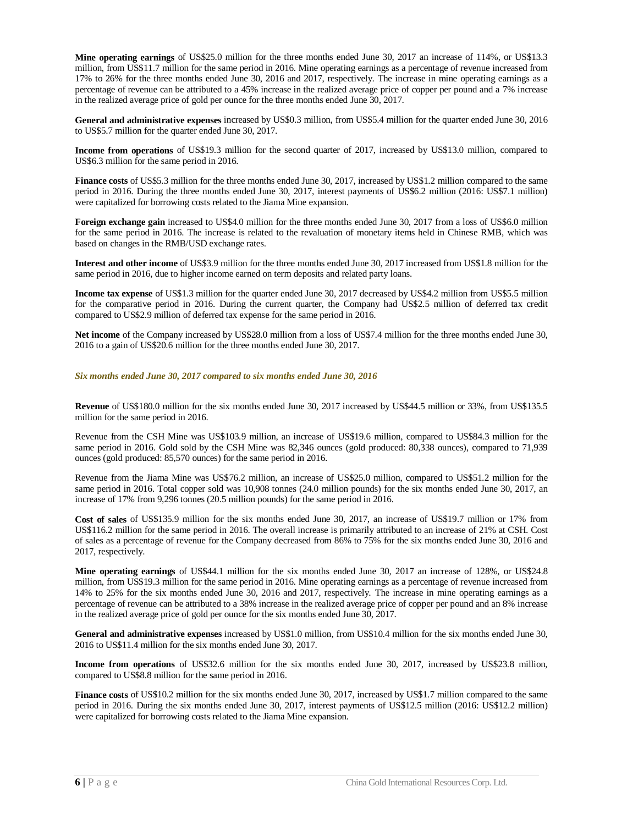**Mine operating earnings** of US\$25.0 million for the three months ended June 30, 2017 an increase of 114%, or US\$13.3 million, from US\$11.7 million for the same period in 2016. Mine operating earnings as a percentage of revenue increased from 17% to 26% for the three months ended June 30, 2016 and 2017, respectively. The increase in mine operating earnings as a percentage of revenue can be attributed to a 45% increase in the realized average price of copper per pound and a 7% increase in the realized average price of gold per ounce for the three months ended June 30, 2017.

**General and administrative expenses** increased by US\$0.3 million, from US\$5.4 million for the quarter ended June 30, 2016 to US\$5.7 million for the quarter ended June 30, 2017.

**Income from operations** of US\$19.3 million for the second quarter of 2017, increased by US\$13.0 million, compared to US\$6.3 million for the same period in 2016.

**Finance costs** of US\$5.3 million for the three months ended June 30, 2017, increased by US\$1.2 million compared to the same period in 2016. During the three months ended June 30, 2017, interest payments of US\$6.2 million (2016: US\$7.1 million) were capitalized for borrowing costs related to the Jiama Mine expansion.

**Foreign exchange gain** increased to US\$4.0 million for the three months ended June 30, 2017 from a loss of US\$6.0 million for the same period in 2016. The increase is related to the revaluation of monetary items held in Chinese RMB, which was based on changes in the RMB/USD exchange rates.

**Interest and other income** of US\$3.9 million for the three months ended June 30, 2017 increased from US\$1.8 million for the same period in 2016, due to higher income earned on term deposits and related party loans.

**Income tax expense** of US\$1.3 million for the quarter ended June 30, 2017 decreased by US\$4.2 million from US\$5.5 million for the comparative period in 2016. During the current quarter, the Company had US\$2.5 million of deferred tax credit compared to US\$2.9 million of deferred tax expense for the same period in 2016.

**Net income** of the Company increased by US\$28.0 million from a loss of US\$7.4 million for the three months ended June 30, 2016 to a gain of US\$20.6 million for the three months ended June 30, 2017.

#### *Six months ended June 30, 2017 compared to six months ended June 30, 2016*

**Revenue** of US\$180.0 million for the six months ended June 30, 2017 increased by US\$44.5 million or 33%, from US\$135.5 million for the same period in 2016.

Revenue from the CSH Mine was US\$103.9 million, an increase of US\$19.6 million, compared to US\$84.3 million for the same period in 2016. Gold sold by the CSH Mine was 82,346 ounces (gold produced: 80,338 ounces), compared to 71,939 ounces (gold produced: 85,570 ounces) for the same period in 2016.

Revenue from the Jiama Mine was US\$76.2 million, an increase of US\$25.0 million, compared to US\$51.2 million for the same period in 2016. Total copper sold was 10,908 tonnes (24.0 million pounds) for the six months ended June 30, 2017, an increase of 17% from 9,296 tonnes (20.5 million pounds) for the same period in 2016.

**Cost of sales** of US\$135.9 million for the six months ended June 30, 2017, an increase of US\$19.7 million or 17% from US\$116.2 million for the same period in 2016. The overall increase is primarily attributed to an increase of 21% at CSH. Cost of sales as a percentage of revenue for the Company decreased from 86% to 75% for the six months ended June 30, 2016 and 2017, respectively.

**Mine operating earnings** of US\$44.1 million for the six months ended June 30, 2017 an increase of 128%, or US\$24.8 million, from US\$19.3 million for the same period in 2016. Mine operating earnings as a percentage of revenue increased from 14% to 25% for the six months ended June 30, 2016 and 2017, respectively. The increase in mine operating earnings as a percentage of revenue can be attributed to a 38% increase in the realized average price of copper per pound and an 8% increase in the realized average price of gold per ounce for the six months ended June 30, 2017.

**General and administrative expenses** increased by US\$1.0 million, from US\$10.4 million for the six months ended June 30, 2016 to US\$11.4 million for the six months ended June 30, 2017.

**Income from operations** of US\$32.6 million for the six months ended June 30, 2017, increased by US\$23.8 million, compared to US\$8.8 million for the same period in 2016.

**Finance costs** of US\$10.2 million for the six months ended June 30, 2017, increased by US\$1.7 million compared to the same period in 2016. During the six months ended June 30, 2017, interest payments of US\$12.5 million (2016: US\$12.2 million) were capitalized for borrowing costs related to the Jiama Mine expansion.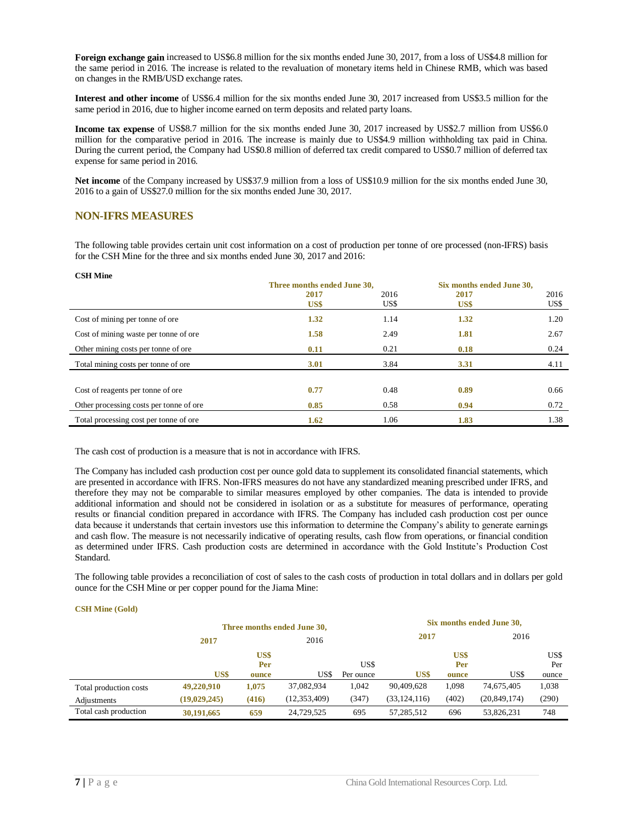**Foreign exchange gain** increased to US\$6.8 million for the six months ended June 30, 2017, from a loss of US\$4.8 million for the same period in 2016. The increase is related to the revaluation of monetary items held in Chinese RMB, which was based on changes in the RMB/USD exchange rates.

**Interest and other income** of US\$6.4 million for the six months ended June 30, 2017 increased from US\$3.5 million for the same period in 2016, due to higher income earned on term deposits and related party loans.

**Income tax expense** of US\$8.7 million for the six months ended June 30, 2017 increased by US\$2.7 million from US\$6.0 million for the comparative period in 2016. The increase is mainly due to US\$4.9 million withholding tax paid in China. During the current period, the Company had US\$0.8 million of deferred tax credit compared to US\$0.7 million of deferred tax expense for same period in 2016.

**Net income** of the Company increased by US\$37.9 million from a loss of US\$10.9 million for the six months ended June 30, 2016 to a gain of US\$27.0 million for the six months ended June 30, 2017.

## <span id="page-8-0"></span>**NON-IFRS MEASURES**

**CSH Mine**

The following table provides certain unit cost information on a cost of production per tonne of ore processed (non-IFRS) basis for the CSH Mine for the three and six months ended June 30, 2017 and 2016:

| <b>CSH MINE</b>                         |                             |      |                           |      |  |
|-----------------------------------------|-----------------------------|------|---------------------------|------|--|
|                                         | Three months ended June 30, |      | Six months ended June 30, |      |  |
|                                         | 2017                        | 2016 | 2017                      | 2016 |  |
|                                         | US\$                        | US\$ | US\$                      | US\$ |  |
| Cost of mining per tonne of ore         | 1.32                        | 1.14 | 1.32                      | 1.20 |  |
| Cost of mining waste per tonne of ore.  | 1.58                        | 2.49 | 1.81                      | 2.67 |  |
| Other mining costs per tonne of ore.    | 0.11                        | 0.21 | 0.18                      | 0.24 |  |
| Total mining costs per tonne of ore     | 3.01                        | 3.84 | 3.31                      | 4.11 |  |
|                                         |                             |      |                           |      |  |
| Cost of reagents per tonne of ore       | 0.77                        | 0.48 | 0.89                      | 0.66 |  |
| Other processing costs per tonne of ore | 0.85                        | 0.58 | 0.94                      | 0.72 |  |
| Total processing cost per tonne of ore. | 1.62                        | 1.06 | 1.83                      | 1.38 |  |

The cash cost of production is a measure that is not in accordance with IFRS.

The Company has included cash production cost per ounce gold data to supplement its consolidated financial statements, which are presented in accordance with IFRS. Non-IFRS measures do not have any standardized meaning prescribed under IFRS, and therefore they may not be comparable to similar measures employed by other companies. The data is intended to provide additional information and should not be considered in isolation or as a substitute for measures of performance, operating results or financial condition prepared in accordance with IFRS. The Company has included cash production cost per ounce data because it understands that certain investors use this information to determine the Company's ability to generate earnings and cash flow. The measure is not necessarily indicative of operating results, cash flow from operations, or financial condition as determined under IFRS. Cash production costs are determined in accordance with the Gold Institute's Production Cost Standard.

The following table provides a reconciliation of cost of sales to the cash costs of production in total dollars and in dollars per gold ounce for the CSH Mine or per copper pound for the Jiama Mine:

#### **CSH Mine (Gold)**

|                        | Three months ended June 30, |       |                |           |                |       | Six months ended June 30, |       |
|------------------------|-----------------------------|-------|----------------|-----------|----------------|-------|---------------------------|-------|
|                        | 2017                        | 2016  |                |           | 2017           |       | 2016                      |       |
|                        |                             | US\$  |                |           |                | US\$  |                           | US\$  |
|                        |                             | Per   |                | US\$      |                | Per   |                           | Per   |
|                        | US\$                        | ounce | US\$           | Per ounce | US\$           | ounce | US\$                      | ounce |
| Total production costs | 49,220,910                  | 1,075 | 37,082,934     | 1,042     | 90,409,628     | 1,098 | 74,675,405                | 1,038 |
| Adjustments            | (19, 029, 245)              | (416) | (12, 353, 409) | (347)     | (33, 124, 116) | (402) | (20, 849, 174)            | (290) |
| Total cash production  | 30,191,665                  | 659   | 24,729,525     | 695       | 57,285,512     | 696   | 53,826,231                | 748   |
|                        |                             |       |                |           |                |       |                           |       |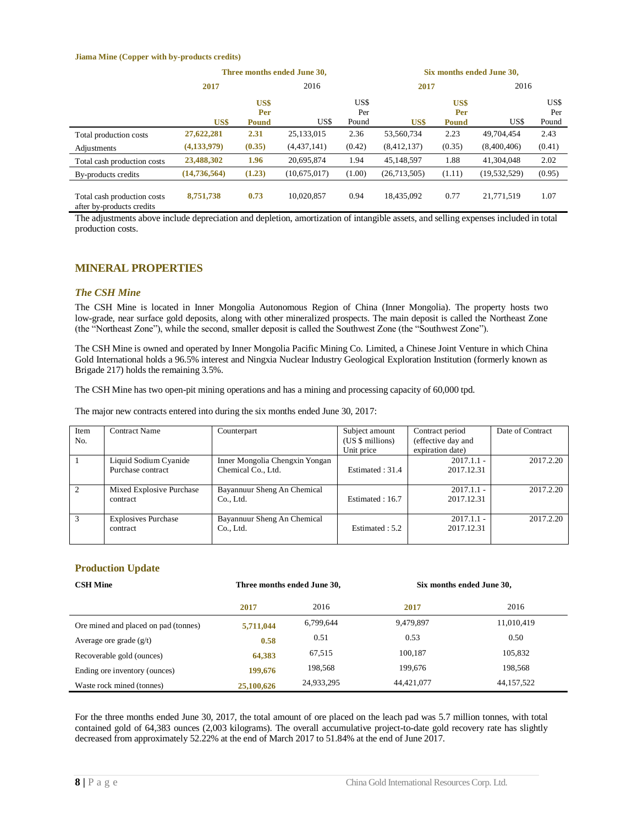#### **Jiama Mine (Copper with by-products credits)**

|                                                          | Three months ended June 30, |                             |                           |                      | Six months ended June 30, |                             |                           |                      |
|----------------------------------------------------------|-----------------------------|-----------------------------|---------------------------|----------------------|---------------------------|-----------------------------|---------------------------|----------------------|
|                                                          | 2017                        |                             | 2016                      |                      | 2017                      |                             | 2016                      |                      |
|                                                          | US\$                        | US\$<br>Per<br><b>Pound</b> | US\$                      | US\$<br>Per<br>Pound | US\$                      | US\$<br>Per<br><b>Pound</b> | US\$                      | US\$<br>Per<br>Pound |
| Total production costs<br>Adjustments                    | 27,622,281<br>(4, 133, 979) | 2.31<br>(0.35)              | 25,133,015<br>(4,437,141) | 2.36<br>(0.42)       | 53,560,734<br>(8,412,137) | 2.23<br>(0.35)              | 49.704.454<br>(8,400,406) | 2.43<br>(0.41)       |
| Total cash production costs                              | 23,488,302                  | 1.96                        | 20.695.874                | 1.94                 | 45.148.597                | 1.88                        | 41.304.048                | 2.02                 |
| By-products credits                                      | (14, 736, 564)              | (1.23)                      | (10,675,017)              | (1.00)               | (26,713,505)              | (1.11)                      | (19, 532, 529)            | (0.95)               |
| Total cash production costs<br>after by-products credits | 8,751,738                   | 0.73                        | 10.020.857                | 0.94                 | 18.435.092                | 0.77                        | 21.771.519                | 1.07                 |

The adjustments above include depreciation and depletion, amortization of intangible assets, and selling expenses included in total production costs.

#### <span id="page-9-0"></span>**MINERAL PROPERTIES**

#### <span id="page-9-1"></span>*The CSH Mine*

The CSH Mine is located in Inner Mongolia Autonomous Region of China (Inner Mongolia). The property hosts two low-grade, near surface gold deposits, along with other mineralized prospects. The main deposit is called the Northeast Zone (the "Northeast Zone"), while the second, smaller deposit is called the Southwest Zone (the "Southwest Zone").

The CSH Mine is owned and operated by Inner Mongolia Pacific Mining Co. Limited, a Chinese Joint Venture in which China Gold International holds a 96.5% interest and Ningxia Nuclear Industry Geological Exploration Institution (formerly known as Brigade 217) holds the remaining 3.5%.

The CSH Mine has two open-pit mining operations and has a mining and processing capacity of 60,000 tpd.

The major new contracts entered into during the six months ended June 30, 2017:

| Item<br>No.   | <b>Contract Name</b>                       | Counterpart                                          | Subject amount<br>(US \$ millions)<br>Unit price | Contract period<br>(effective day and<br>expiration date) | Date of Contract |
|---------------|--------------------------------------------|------------------------------------------------------|--------------------------------------------------|-----------------------------------------------------------|------------------|
|               | Liquid Sodium Cyanide<br>Purchase contract | Inner Mongolia Chengxin Yongan<br>Chemical Co., Ltd. | Estimated: 31.4                                  | $2017.1.1 -$<br>2017.12.31                                | 2017.2.20        |
| $\mathcal{L}$ | Mixed Explosive Purchase<br>contract       | Bayannuur Sheng An Chemical<br>Co., Ltd.             | Estimated: 16.7                                  | $2017.1.1 -$<br>2017.12.31                                | 2017.2.20        |
| $\mathcal{R}$ | <b>Explosives Purchase</b><br>contract     | Bayannuur Sheng An Chemical<br>Co., Ltd.             | Estimated: 5.2                                   | $2017.1.1 -$<br>2017.12.31                                | 2017.2.20        |

#### **Production Update**

| <b>CSH Mine</b>                      | Three months ended June 30, |            | Six months ended June 30, |              |
|--------------------------------------|-----------------------------|------------|---------------------------|--------------|
|                                      | 2017                        | 2016       | 2017                      | 2016         |
| Ore mined and placed on pad (tonnes) | 5,711,044                   | 6,799,644  | 9,479,897                 | 11,010,419   |
| Average ore grade $(g/t)$            | 0.58                        | 0.51       | 0.53                      | 0.50         |
| Recoverable gold (ounces)            | 64,383                      | 67,515     | 100.187                   | 105,832      |
| Ending ore inventory (ounces)        | 199,676                     | 198,568    | 199.676                   | 198.568      |
| Waste rock mined (tonnes)            | 25,100,626                  | 24,933,295 | 44.421.077                | 44, 157, 522 |

For the three months ended June 30, 2017, the total amount of ore placed on the leach pad was 5.7 million tonnes, with total contained gold of 64,383 ounces (2,003 kilograms). The overall accumulative project-to-date gold recovery rate has slightly decreased from approximately 52.22% at the end of March 2017 to 51.84% at the end of June 2017.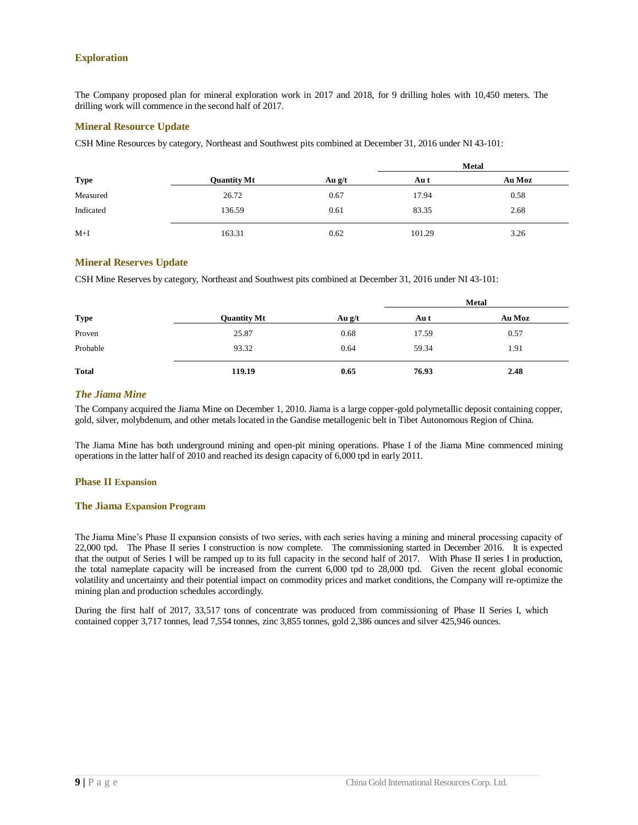#### **Exploration**

The Company proposed plan for mineral exploration work in 2017 and 2018, for 9 drilling holes with 10,450 meters. The drilling work will commence in the second half of 2017.

#### **Mineral Resource Update**

CSH Mine Resources by category, Northeast and Southwest pits combined at December 31, 2016 under NI 43-101:

|             |                    |          |        | <b>Metal</b> |
|-------------|--------------------|----------|--------|--------------|
| <b>Type</b> | <b>Ouantity Mt</b> | Au $g/t$ | Au t   | Au Moz       |
| Measured    | 26.72              | 0.67     | 17.94  | 0.58         |
| Indicated   | 136.59             | 0.61     | 83.35  | 2.68         |
| $M+I$       | 163.31             | 0.62     | 101.29 | 3.26         |

#### **Mineral Reserves Update**

CSH Mine Reserves by category, Northeast and Southwest pits combined at December 31, 2016 under NI 43-101:

|              |                    |          | Metal |        |  |
|--------------|--------------------|----------|-------|--------|--|
| <b>Type</b>  | <b>Quantity Mt</b> | Au $g/t$ | Au t  | Au Moz |  |
| Proven       | 25.87              | 0.68     | 17.59 | 0.57   |  |
| Probable     | 93.32              | 0.64     | 59.34 | 1.91   |  |
| <b>Total</b> | 119.19             | 0.65     | 76.93 | 2.48   |  |

#### <span id="page-10-0"></span>*The Jiama Mine*

The Company acquired the Jiama Mine on December 1, 2010. Jiama is a large copper-gold polymetallic deposit containing copper, gold, silver, molybdenum, and other metals located in the Gandise metallogenic belt in Tibet Autonomous Region of China.

The Jiama Mine has both underground mining and open-pit mining operations. Phase I of the Jiama Mine commenced mining operations in the latter half of 2010 and reached its design capacity of 6,000 tpd in early 2011.

#### **Phase II Expansion**

#### **The Jiama Expansion Program**

The Jiama Mine's Phase II expansion consists of two series, with each series having a mining and mineral processing capacity of 22,000 tpd. The Phase II series I construction is now complete. The commissioning started in December 2016. It is expected that the output of Series I will be ramped up to its full capacity in the second half of 2017. With Phase II series I in production, the total nameplate capacity will be increased from the current 6,000 tpd to 28,000 tpd. Given the recent global economic volatility and uncertainty and their potential impact on commodity prices and market conditions, the Company will re-optimize the mining plan and production schedules accordingly.

During the first half of 2017, 33,517 tons of concentrate was produced from commissioning of Phase II Series I, which contained copper 3,717 tonnes, lead 7,554 tonnes, zinc 3,855 tonnes, gold 2,386 ounces and silver 425,946 ounces.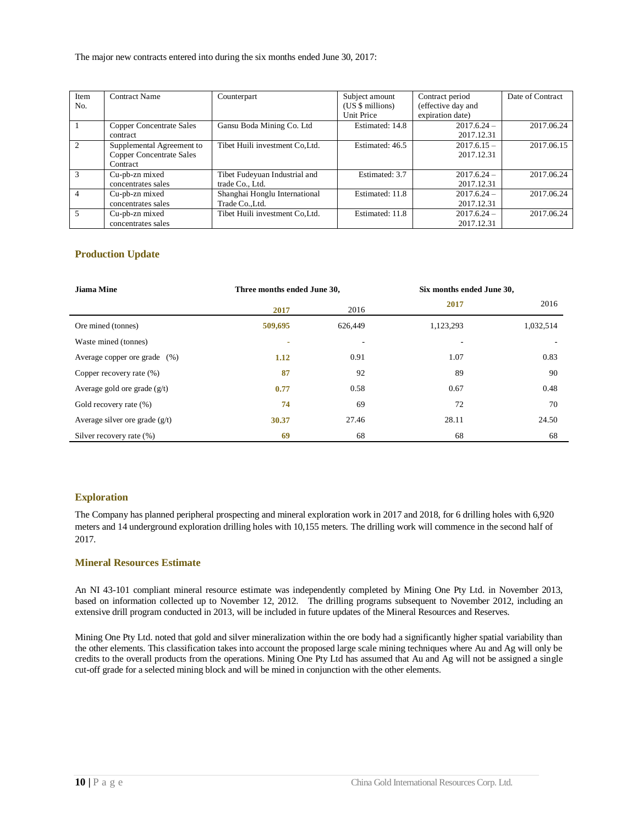The major new contracts entered into during the six months ended June 30, 2017:

| Item           | <b>Contract Name</b>            | Counterpart                     | Subject amount   | Contract period    | Date of Contract |
|----------------|---------------------------------|---------------------------------|------------------|--------------------|------------------|
| No.            |                                 |                                 | (US \$ millions) | (effective day and |                  |
|                |                                 |                                 | Unit Price       | expiration date)   |                  |
|                | <b>Copper Concentrate Sales</b> | Gansu Boda Mining Co. Ltd       | Estimated: 14.8  | $2017.6.24 -$      | 2017.06.24       |
|                | contract                        |                                 |                  | 2017.12.31         |                  |
| $\mathfrak{D}$ | Supplemental Agreement to       | Tibet Huili investment Co.Ltd.  | Estimated: 46.5  | $2017.6.15 -$      | 2017.06.15       |
|                | <b>Copper Concentrate Sales</b> |                                 |                  | 2017.12.31         |                  |
|                | Contract                        |                                 |                  |                    |                  |
| 3              | Cu-pb-zn mixed                  | Tibet Fudeyuan Industrial and   | Estimated: 3.7   | $2017.6.24 -$      | 2017.06.24       |
|                | concentrates sales              | trade Co., Ltd.                 |                  | 2017.12.31         |                  |
| $\overline{4}$ | Cu-pb-zn mixed                  | Shanghai Honglu International   | Estimated: 11.8  | $2017.6.24 -$      | 2017.06.24       |
|                | concentrates sales              | Trade Co., Ltd.                 |                  | 2017.12.31         |                  |
| 5              | Cu-pb-zn mixed                  | Tibet Huili investment Co, Ltd. | Estimated: 11.8  | $2017.6.24 -$      | 2017.06.24       |
|                | concentrates sales              |                                 |                  | 2017.12.31         |                  |

#### **Production Update**

| <b>Jiama Mine</b>                | Three months ended June 30, |                          | Six months ended June 30, |           |
|----------------------------------|-----------------------------|--------------------------|---------------------------|-----------|
|                                  | 2017                        | 2016                     | 2017                      | 2016      |
| Ore mined (tonnes)               | 509,695                     | 626,449                  | 1,123,293                 | 1,032,514 |
| Waste mined (tonnes)             | ۰                           | $\overline{\phantom{a}}$ | ۰                         |           |
| Average copper ore grade (%)     | 1.12                        | 0.91                     | 1.07                      | 0.83      |
| Copper recovery rate (%)         | 87                          | 92                       | 89                        | 90        |
| Average gold ore grade $(g/t)$   | 0.77                        | 0.58                     | 0.67                      | 0.48      |
| Gold recovery rate (%)           | 74                          | 69                       | 72                        | 70        |
| Average silver ore grade $(g/t)$ | 30.37                       | 27.46                    | 28.11                     | 24.50     |
| Silver recovery rate (%)         | 69                          | 68                       | 68                        | 68        |

#### **Exploration**

The Company has planned peripheral prospecting and mineral exploration work in 2017 and 2018, for 6 drilling holes with 6,920 meters and 14 underground exploration drilling holes with 10,155 meters. The drilling work will commence in the second half of 2017.

#### **Mineral Resources Estimate**

An NI 43-101 compliant mineral resource estimate was independently completed by Mining One Pty Ltd. in November 2013, based on information collected up to November 12, 2012. The drilling programs subsequent to November 2012, including an extensive drill program conducted in 2013, will be included in future updates of the Mineral Resources and Reserves.

Mining One Pty Ltd. noted that gold and silver mineralization within the ore body had a significantly higher spatial variability than the other elements. This classification takes into account the proposed large scale mining techniques where Au and Ag will only be credits to the overall products from the operations. Mining One Pty Ltd has assumed that Au and Ag will not be assigned a single cut-off grade for a selected mining block and will be mined in conjunction with the other elements.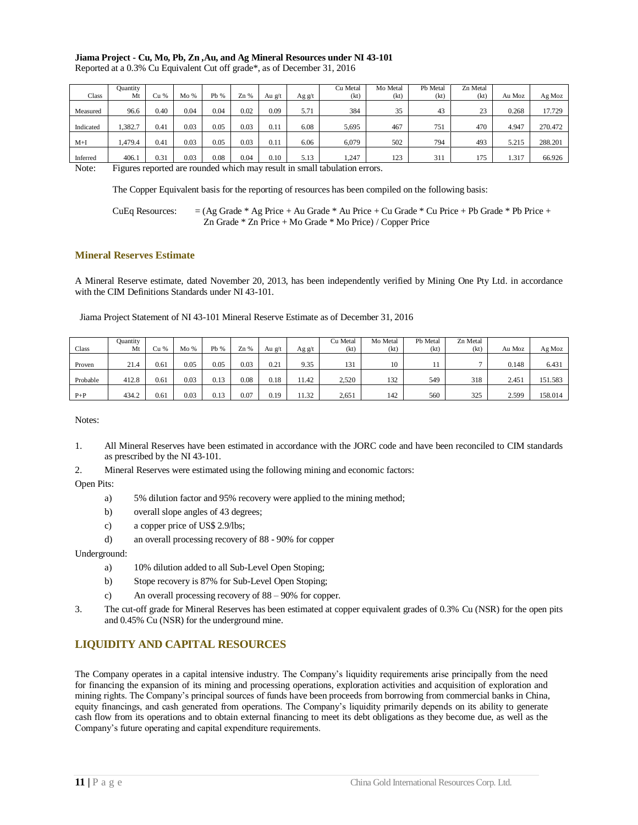#### **Jiama Project - Cu, Mo, Pb, Zn ,Au, and Ag Mineral Resources under NI 43-101** Reported at a 0.3% Cu Equivalent Cut off grade\*, as of December 31, 2016

|       | Reported at a 0.370 Cu Equivalent Cut on grade, as of December 31, 2010 |      |     |      |     |        |        |          |          |          |  |
|-------|-------------------------------------------------------------------------|------|-----|------|-----|--------|--------|----------|----------|----------|--|
|       | Ouantity                                                                |      |     |      |     |        |        | Cu Metal | Mo Metal | Pb Metal |  |
| Class | Mt                                                                      | Cu % | Mo% | Pb % | Zn% | Au g/t | Ag g/t | (kt)     | (kt)     | (kt)     |  |
|       |                                                                         |      |     |      |     |        |        |          |          |          |  |

|           | Qualitity |           |      |      |        |        |        | си іметан | <b>NO Metal</b> | го мета | ZII Metal |        |         |
|-----------|-----------|-----------|------|------|--------|--------|--------|-----------|-----------------|---------|-----------|--------|---------|
| Class     | Mt        | Cu %      | Mo % | Pb % | $Zn\%$ | Au g/t | Ag g/t | (kt)      | (kt)            | (kt)    | (kt)      | Au Moz | Ag Moz  |
| Measured  | 96.6      | 0.40      | 0.04 | 0.04 | 0.02   | 0.09   | 5.71   | 384       | 35              | 43      | 23        | 0.268  | 17.729  |
| Indicated | 1,382.7   | 0.4       | 0.03 | 0.05 | 0.03   | 0.11   | 6.08   | 5,695     | 467             | 751     | 470       | 4.947  | 270.472 |
| $M+I$     | 479.4     | 0.4       | 0.03 | 0.05 | 0.03   | 0.11   | 6.06   | 6.079     | 502             | 794     | 493       | 5.215  | 288.201 |
| Inferred  | 406.1     | $^{0.31}$ | 0.03 | 0.08 | 0.04   | 0.10   | 5.13   | 1,247     | 123             | 311     | 175       | 1.317  | 66.926  |

 $7.11$ 

Note: Figures reported are rounded which may result in small tabulation errors.

The Copper Equivalent basis for the reporting of resources has been compiled on the following basis:

CuEq Resources:  $= (Ag Grade * Ag Price + Au Grade * Au Price + Cu Grade * Cu Price + Pb Grade * Pb Price + b()$ Zn Grade \* Zn Price + Mo Grade \* Mo Price) / Copper Price

#### **Mineral Reserves Estimate**

A Mineral Reserve estimate, dated November 20, 2013, has been independently verified by Mining One Pty Ltd. in accordance with the CIM Definitions Standards under NI 43-101.

Jiama Project Statement of NI 43-101 Mineral Reserve Estimate as of December 31, 2016

| Class    | Ouantity<br>Mt | ごu % | Mo%  | Pb % | $Zn$ % | Au g/t | Ag g/t | Cu Metal<br>(kt) | Mo Metal<br>(kt) | Pb Metal<br>(kt) | Zn Metal<br>(kt) | Au Moz | Ag Moz  |
|----------|----------------|------|------|------|--------|--------|--------|------------------|------------------|------------------|------------------|--------|---------|
| Proven   | 21.4           | 0.61 | 0.05 | 0.05 | 0.03   | 0.21   | 9.35   | 131              | 10               |                  |                  | 0.148  | 6.431   |
| Probable | 412.8          | 0.61 | 0.03 | 0.13 | 0.08   | 0.18   | 11.42  | 2.520            | 132              | 549              | 318              | 2.451  | 151.583 |
| $P+P$    | 434.2          | 0.61 | 0.03 | 0.13 | 0.07   | 0.19   | 11.32  | 2,651            | 142              | 560              | 325              | 2.599  | 158.014 |

Notes:

- 1. All Mineral Reserves have been estimated in accordance with the JORC code and have been reconciled to CIM standards as prescribed by the NI 43-101.
- 2. Mineral Reserves were estimated using the following mining and economic factors:

Open Pits:

- a) 5% dilution factor and 95% recovery were applied to the mining method;
- b) overall slope angles of 43 degrees;
- c) a copper price of US\$ 2.9/lbs;
- d) an overall processing recovery of 88 90% for copper

Underground:

- a) 10% dilution added to all Sub-Level Open Stoping;
- b) Stope recovery is 87% for Sub-Level Open Stoping;
- c) An overall processing recovery of 88 90% for copper.
- 3. The cut-off grade for Mineral Reserves has been estimated at copper equivalent grades of 0.3% Cu (NSR) for the open pits and 0.45% Cu (NSR) for the underground mine.

## <span id="page-12-0"></span>**LIQUIDITY AND CAPITAL RESOURCES**

The Company operates in a capital intensive industry. The Company's liquidity requirements arise principally from the need for financing the expansion of its mining and processing operations, exploration activities and acquisition of exploration and mining rights. The Company's principal sources of funds have been proceeds from borrowing from commercial banks in China, equity financings, and cash generated from operations. The Company's liquidity primarily depends on its ability to generate cash flow from its operations and to obtain external financing to meet its debt obligations as they become due, as well as the Company's future operating and capital expenditure requirements.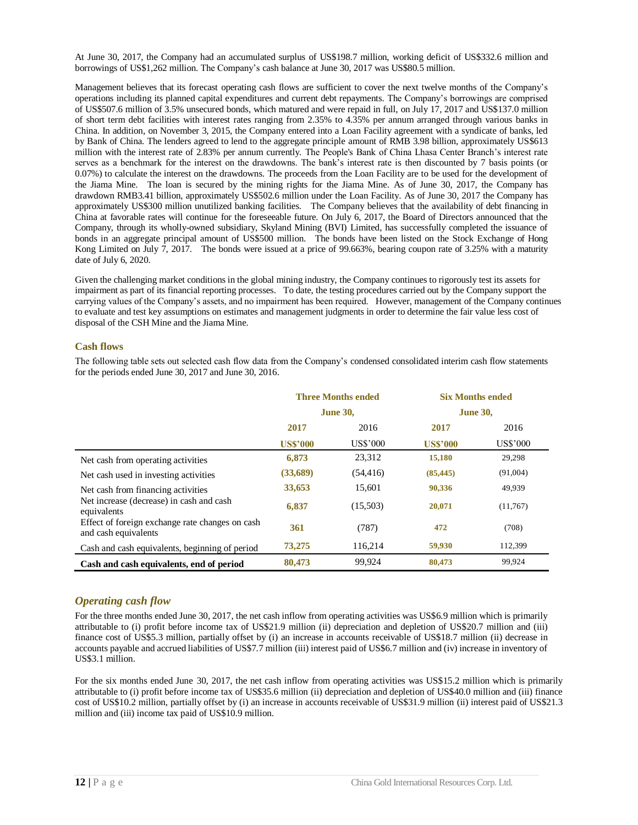At June 30, 2017, the Company had an accumulated surplus of US\$198.7 million, working deficit of US\$332.6 million and borrowings of US\$1,262 million. The Company's cash balance at June 30, 2017 was US\$80.5 million.

Management believes that its forecast operating cash flows are sufficient to cover the next twelve months of the Company's operations including its planned capital expenditures and current debt repayments. The Company's borrowings are comprised of US\$507.6 million of 3.5% unsecured bonds, which matured and were repaid in full, on July 17, 2017 and US\$137.0 million of short term debt facilities with interest rates ranging from 2.35% to 4.35% per annum arranged through various banks in China. In addition, on November 3, 2015, the Company entered into a Loan Facility agreement with a syndicate of banks, led by Bank of China. The lenders agreed to lend to the aggregate principle amount of RMB 3.98 billion, approximately US\$613 million with the interest rate of 2.83% per annum currently. The People's Bank of China Lhasa Center Branch's interest rate serves as a benchmark for the interest on the drawdowns. The bank's interest rate is then discounted by 7 basis points (or 0.07%) to calculate the interest on the drawdowns. The proceeds from the Loan Facility are to be used for the development of the Jiama Mine. The loan is secured by the mining rights for the Jiama Mine. As of June 30, 2017, the Company has drawdown RMB3.41 billion, approximately US\$502.6 million under the Loan Facility. As of June 30, 2017 the Company has approximately US\$300 million unutilized banking facilities. The Company believes that the availability of debt financing in China at favorable rates will continue for the foreseeable future. On July 6, 2017, the Board of Directors announced that the Company, through its wholly-owned subsidiary, Skyland Mining (BVI) Limited, has successfully completed the issuance of bonds in an aggregate principal amount of US\$500 million. The bonds have been listed on the Stock Exchange of Hong Kong Limited on July 7, 2017. The bonds were issued at a price of 99.663%, bearing coupon rate of 3.25% with a maturity date of July 6, 2020.

Given the challenging market conditions in the global mining industry, the Company continues to rigorously test its assets for impairment as part of its financial reporting processes. To date, the testing procedures carried out by the Company support the carrying values of the Company's assets, and no impairment has been required. However, management of the Company continues to evaluate and test key assumptions on estimates and management judgments in order to determine the fair value less cost of disposal of the CSH Mine and the Jiama Mine.

#### <span id="page-13-0"></span>**Cash flows**

The following table sets out selected cash flow data from the Company's condensed consolidated interim cash flow statements for the periods ended June 30, 2017 and June 30, 2016.

|                                                                         |                 | <b>Three Months ended</b> | <b>Six Months ended</b> |                 |  |
|-------------------------------------------------------------------------|-----------------|---------------------------|-------------------------|-----------------|--|
|                                                                         |                 | <b>June 30,</b>           | <b>June 30,</b>         |                 |  |
|                                                                         | 2017            | 2016                      | 2017                    | 2016            |  |
|                                                                         | <b>US\$'000</b> | <b>US\$'000</b>           | <b>US\$'000</b>         | <b>US\$'000</b> |  |
| Net cash from operating activities                                      | 6,873           | 23,312                    | 15,180                  | 29,298          |  |
| Net cash used in investing activities                                   | (33,689)        | (54, 416)                 | (85, 445)               | (91,004)        |  |
| Net cash from financing activities                                      | 33,653          | 15,601                    | 90,336                  | 49,939          |  |
| Net increase (decrease) in cash and cash<br>equivalents                 | 6,837           | (15,503)                  | 20,071                  | (11,767)        |  |
| Effect of foreign exchange rate changes on cash<br>and cash equivalents | 361             | (787)                     | 472                     | (708)           |  |
| Cash and cash equivalents, beginning of period                          | 73,275          | 116,214                   | 59,930                  | 112,399         |  |
| Cash and cash equivalents, end of period                                | 80,473          | 99,924                    | 80,473                  | 99,924          |  |

## <span id="page-13-1"></span>*Operating cash flow*

For the three months ended June 30, 2017, the net cash inflow from operating activities was US\$6.9 million which is primarily attributable to (i) profit before income tax of US\$21.9 million (ii) depreciation and depletion of US\$20.7 million and (iii) finance cost of US\$5.3 million, partially offset by (i) an increase in accounts receivable of US\$18.7 million (ii) decrease in accounts payable and accrued liabilities of US\$7.7 million (iii) interest paid of US\$6.7 million and (iv) increase in inventory of US\$3.1 million.

For the six months ended June 30, 2017, the net cash inflow from operating activities was US\$15.2 million which is primarily attributable to (i) profit before income tax of US\$35.6 million (ii) depreciation and depletion of US\$40.0 million and (iii) finance cost of US\$10.2 million, partially offset by (i) an increase in accounts receivable of US\$31.9 million (ii) interest paid of US\$21.3 million and (iii) income tax paid of US\$10.9 million.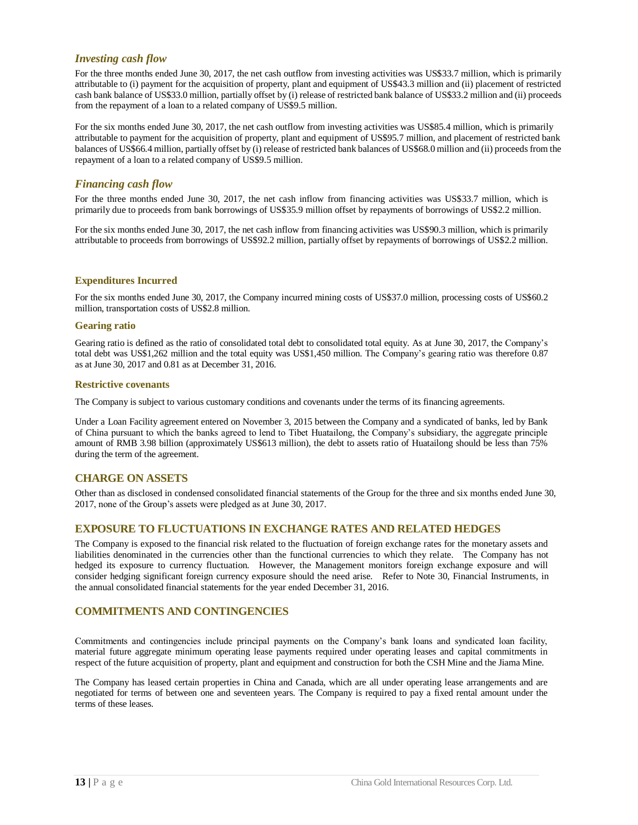#### <span id="page-14-0"></span>*Investing cash flow*

For the three months ended June 30, 2017, the net cash outflow from investing activities was US\$33.7 million, which is primarily attributable to (i) payment for the acquisition of property, plant and equipment of US\$43.3 million and (ii) placement of restricted cash bank balance of US\$33.0 million, partially offset by (i) release of restricted bank balance of US\$33.2 million and (ii) proceeds from the repayment of a loan to a related company of US\$9.5 million.

For the six months ended June 30, 2017, the net cash outflow from investing activities was US\$85.4 million, which is primarily attributable to payment for the acquisition of property, plant and equipment of US\$95.7 million, and placement of restricted bank balances of US\$66.4 million, partially offset by (i) release of restricted bank balances of US\$68.0 million and (ii) proceeds from the repayment of a loan to a related company of US\$9.5 million.

#### <span id="page-14-1"></span>*Financing cash flow*

For the three months ended June 30, 2017, the net cash inflow from financing activities was US\$33.7 million, which is primarily due to proceeds from bank borrowings of US\$35.9 million offset by repayments of borrowings of US\$2.2 million.

For the six months ended June 30, 2017, the net cash inflow from financing activities was US\$90.3 million, which is primarily attributable to proceeds from borrowings of US\$92.2 million, partially offset by repayments of borrowings of US\$2.2 million.

#### **Expenditures Incurred**

For the six months ended June 30, 2017, the Company incurred mining costs of US\$37.0 million, processing costs of US\$60.2 million, transportation costs of US\$2.8 million.

#### **Gearing ratio**

Gearing ratio is defined as the ratio of consolidated total debt to consolidated total equity. As at June 30, 2017, the Company's total debt was US\$1,262 million and the total equity was US\$1,450 million. The Company's gearing ratio was therefore 0.87 as at June 30, 2017 and 0.81 as at December 31, 2016.

#### **Restrictive covenants**

The Company is subject to various customary conditions and covenants under the terms of its financing agreements.

Under a Loan Facility agreement entered on November 3, 2015 between the Company and a syndicated of banks, led by Bank of China pursuant to which the banks agreed to lend to Tibet Huatailong, the Company's subsidiary, the aggregate principle amount of RMB 3.98 billion (approximately US\$613 million), the debt to assets ratio of Huatailong should be less than 75% during the term of the agreement.

#### <span id="page-14-2"></span>**CHARGE ON ASSETS**

Other than as disclosed in condensed consolidated financial statements of the Group for the three and six months ended June 30, 2017, none of the Group's assets were pledged as at June 30, 2017.

#### <span id="page-14-3"></span>**EXPOSURE TO FLUCTUATIONS IN EXCHANGE RATES AND RELATED HEDGES**

The Company is exposed to the financial risk related to the fluctuation of foreign exchange rates for the monetary assets and liabilities denominated in the currencies other than the functional currencies to which they relate. The Company has not hedged its exposure to currency fluctuation. However, the Management monitors foreign exchange exposure and will consider hedging significant foreign currency exposure should the need arise. Refer to Note 30, Financial Instruments, in the annual consolidated financial statements for the year ended December 31, 2016.

#### <span id="page-14-4"></span>**COMMITMENTS AND CONTINGENCIES**

Commitments and contingencies include principal payments on the Company's bank loans and syndicated loan facility, material future aggregate minimum operating lease payments required under operating leases and capital commitments in respect of the future acquisition of property, plant and equipment and construction for both the CSH Mine and the Jiama Mine.

The Company has leased certain properties in China and Canada, which are all under operating lease arrangements and are negotiated for terms of between one and seventeen years. The Company is required to pay a fixed rental amount under the terms of these leases.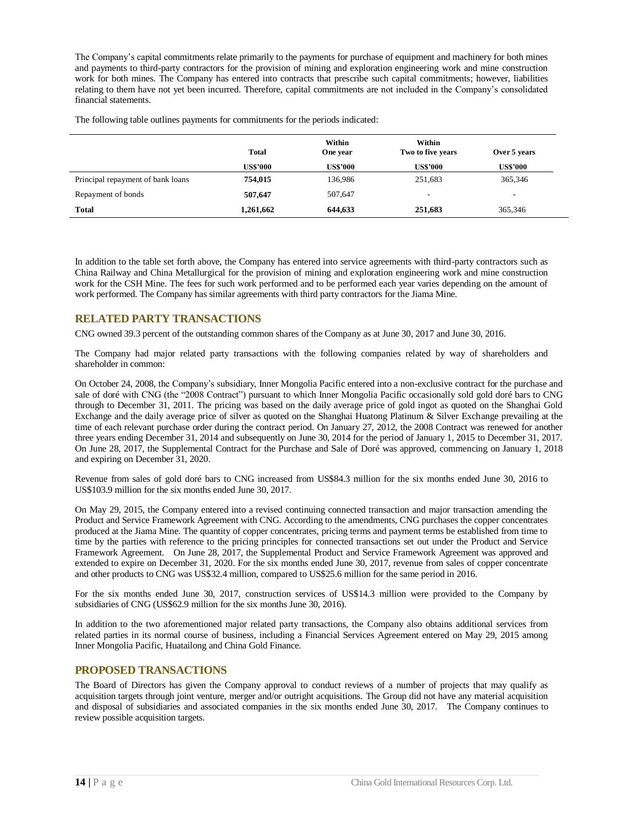The Company's capital commitments relate primarily to the payments for purchase of equipment and machinery for both mines and payments to third-party contractors for the provision of mining and exploration engineering work and mine construction work for both mines. The Company has entered into contracts that prescribe such capital commitments; however, liabilities relating to them have not yet been incurred. Therefore, capital commitments are not included in the Company's consolidated financial statements.

The following table outlines payments for commitments for the periods indicated:

|                                   | <b>Total</b>    | Within<br>One year | Within<br>Two to five years | Over 5 years             |
|-----------------------------------|-----------------|--------------------|-----------------------------|--------------------------|
|                                   | <b>US\$'000</b> | <b>US\$'000</b>    | <b>US\$'000</b>             | <b>US\$'000</b>          |
| Principal repayment of bank loans | 754,015         | 136,986            | 251,683                     | 365,346                  |
| Repayment of bonds                | 507,647         | 507,647            | $\overline{\phantom{a}}$    | $\overline{\phantom{0}}$ |
| <b>Total</b>                      | 1,261,662       | 644,633            | 251,683                     | 365,346                  |

In addition to the table set forth above, the Company has entered into service agreements with third-party contractors such as China Railway and China Metallurgical for the provision of mining and exploration engineering work and mine construction work for the CSH Mine. The fees for such work performed and to be performed each year varies depending on the amount of work performed. The Company has similar agreements with third party contractors for the Jiama Mine.

## <span id="page-15-0"></span>**RELATED PARTY TRANSACTIONS**

CNG owned 39.3 percent of the outstanding common shares of the Company as at June 30, 2017 and June 30, 2016.

The Company had major related party transactions with the following companies related by way of shareholders and shareholder in common:

On October 24, 2008, the Company's subsidiary, Inner Mongolia Pacific entered into a non-exclusive contract for the purchase and sale of doré with CNG (the "2008 Contract") pursuant to which Inner Mongolia Pacific occasionally sold gold doré bars to CNG through to December 31, 2011. The pricing was based on the daily average price of gold ingot as quoted on the Shanghai Gold Exchange and the daily average price of silver as quoted on the Shanghai Huatong Platinum & Silver Exchange prevailing at the time of each relevant purchase order during the contract period. On January 27, 2012, the 2008 Contract was renewed for another three years ending December 31, 2014 and subsequently on June 30, 2014 for the period of January 1, 2015 to December 31, 2017. On June 28, 2017, the Supplemental Contract for the Purchase and Sale of Doré was approved, commencing on January 1, 2018 and expiring on December 31, 2020.

Revenue from sales of gold doré bars to CNG increased from US\$84.3 million for the six months ended June 30, 2016 to US\$103.9 million for the six months ended June 30, 2017.

On May 29, 2015, the Company entered into a revised continuing connected transaction and major transaction amending the Product and Service Framework Agreement with CNG. According to the amendments, CNG purchases the copper concentrates produced at the Jiama Mine. The quantity of copper concentrates, pricing terms and payment terms be established from time to time by the parties with reference to the pricing principles for connected transactions set out under the Product and Service Framework Agreement. On June 28, 2017, the Supplemental Product and Service Framework Agreement was approved and extended to expire on December 31, 2020. For the six months ended June 30, 2017, revenue from sales of copper concentrate and other products to CNG was US\$32.4 million, compared to US\$25.6 million for the same period in 2016.

For the six months ended June 30, 2017, construction services of US\$14.3 million were provided to the Company by subsidiaries of CNG (US\$62.9 million for the six months June 30, 2016).

In addition to the two aforementioned major related party transactions, the Company also obtains additional services from related parties in its normal course of business, including a Financial Services Agreement entered on May 29, 2015 among Inner Mongolia Pacific, Huatailong and China Gold Finance.

## <span id="page-15-1"></span>**PROPOSED TRANSACTIONS**

The Board of Directors has given the Company approval to conduct reviews of a number of projects that may qualify as acquisition targets through joint venture, merger and/or outright acquisitions. The Group did not have any material acquisition and disposal of subsidiaries and associated companies in the six months ended June 30, 2017. The Company continues to review possible acquisition targets.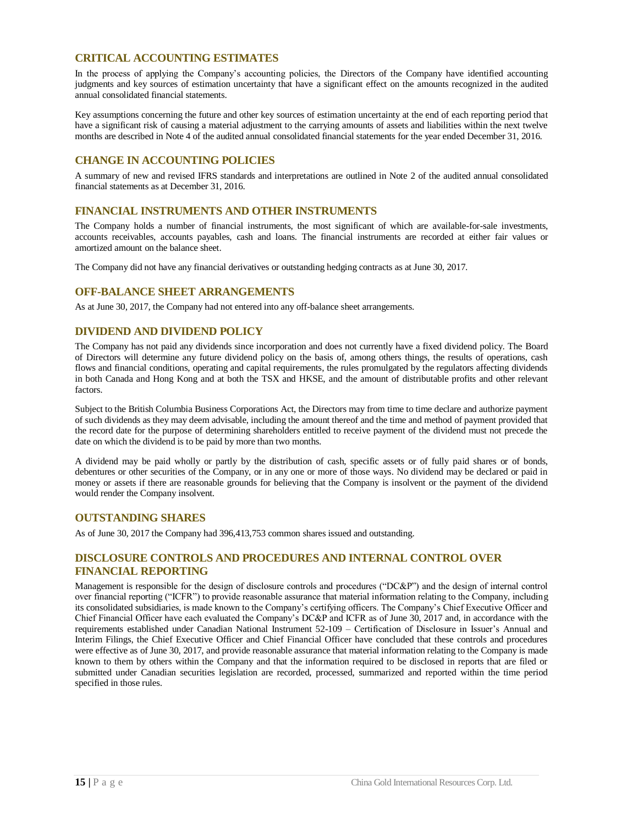## <span id="page-16-0"></span>**CRITICAL ACCOUNTING ESTIMATES**

In the process of applying the Company's accounting policies, the Directors of the Company have identified accounting judgments and key sources of estimation uncertainty that have a significant effect on the amounts recognized in the audited annual consolidated financial statements.

Key assumptions concerning the future and other key sources of estimation uncertainty at the end of each reporting period that have a significant risk of causing a material adjustment to the carrying amounts of assets and liabilities within the next twelve months are described in Note 4 of the audited annual consolidated financial statements for the year ended December 31, 2016.

## <span id="page-16-1"></span>**CHANGE IN ACCOUNTING POLICIES**

A summary of new and revised IFRS standards and interpretations are outlined in Note 2 of the audited annual consolidated financial statements as at December 31, 2016.

#### <span id="page-16-2"></span>**FINANCIAL INSTRUMENTS AND OTHER INSTRUMENTS**

The Company holds a number of financial instruments, the most significant of which are available-for-sale investments, accounts receivables, accounts payables, cash and loans. The financial instruments are recorded at either fair values or amortized amount on the balance sheet.

The Company did not have any financial derivatives or outstanding hedging contracts as at June 30, 2017.

## <span id="page-16-3"></span>**OFF-BALANCE SHEET ARRANGEMENTS**

As at June 30, 2017, the Company had not entered into any off-balance sheet arrangements.

## <span id="page-16-4"></span>**DIVIDEND AND DIVIDEND POLICY**

The Company has not paid any dividends since incorporation and does not currently have a fixed dividend policy. The Board of Directors will determine any future dividend policy on the basis of, among others things, the results of operations, cash flows and financial conditions, operating and capital requirements, the rules promulgated by the regulators affecting dividends in both Canada and Hong Kong and at both the TSX and HKSE, and the amount of distributable profits and other relevant factors.

Subject to the British Columbia Business Corporations Act, the Directors may from time to time declare and authorize payment of such dividends as they may deem advisable, including the amount thereof and the time and method of payment provided that the record date for the purpose of determining shareholders entitled to receive payment of the dividend must not precede the date on which the dividend is to be paid by more than two months.

A dividend may be paid wholly or partly by the distribution of cash, specific assets or of fully paid shares or of bonds, debentures or other securities of the Company, or in any one or more of those ways. No dividend may be declared or paid in money or assets if there are reasonable grounds for believing that the Company is insolvent or the payment of the dividend would render the Company insolvent.

## <span id="page-16-5"></span>**OUTSTANDING SHARES**

As of June 30, 2017 the Company had 396,413,753 common shares issued and outstanding.

## <span id="page-16-6"></span>**DISCLOSURE CONTROLS AND PROCEDURES AND INTERNAL CONTROL OVER FINANCIAL REPORTING**

Management is responsible for the design of disclosure controls and procedures ("DC&P") and the design of internal control over financial reporting ("ICFR") to provide reasonable assurance that material information relating to the Company, including its consolidated subsidiaries, is made known to the Company's certifying officers. The Company's Chief Executive Officer and Chief Financial Officer have each evaluated the Company's DC&P and ICFR as of June 30, 2017 and, in accordance with the requirements established under Canadian National Instrument 52-109 – Certification of Disclosure in Issuer's Annual and Interim Filings, the Chief Executive Officer and Chief Financial Officer have concluded that these controls and procedures were effective as of June 30, 2017, and provide reasonable assurance that material information relating to the Company is made known to them by others within the Company and that the information required to be disclosed in reports that are filed or submitted under Canadian securities legislation are recorded, processed, summarized and reported within the time period specified in those rules.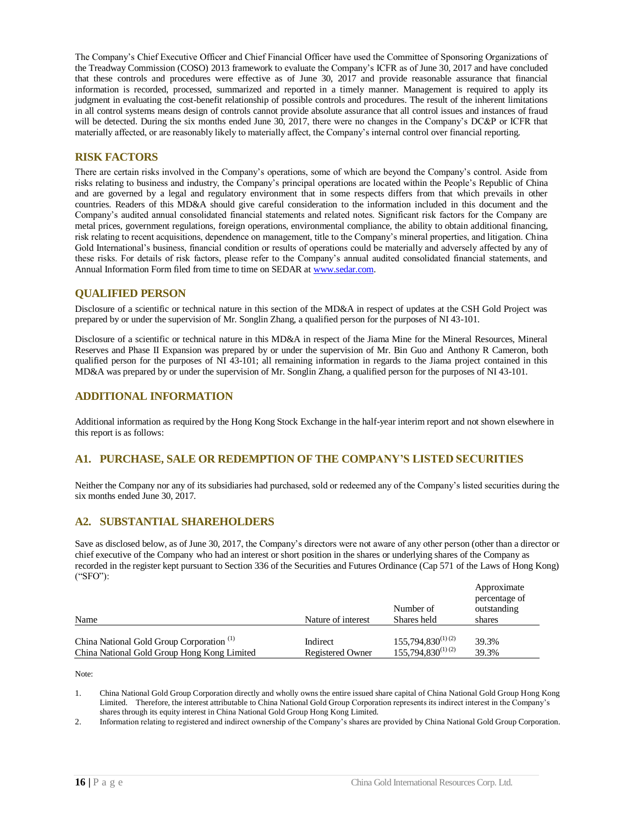The Company's Chief Executive Officer and Chief Financial Officer have used the Committee of Sponsoring Organizations of the Treadway Commission (COSO) 2013 framework to evaluate the Company's ICFR as of June 30, 2017 and have concluded that these controls and procedures were effective as of June 30, 2017 and provide reasonable assurance that financial information is recorded, processed, summarized and reported in a timely manner. Management is required to apply its judgment in evaluating the cost-benefit relationship of possible controls and procedures. The result of the inherent limitations in all control systems means design of controls cannot provide absolute assurance that all control issues and instances of fraud will be detected. During the six months ended June 30, 2017, there were no changes in the Company's DC&P or ICFR that materially affected, or are reasonably likely to materially affect, the Company's internal control over financial reporting.

## <span id="page-17-0"></span>**RISK FACTORS**

There are certain risks involved in the Company's operations, some of which are beyond the Company's control. Aside from risks relating to business and industry, the Company's principal operations are located within the People's Republic of China and are governed by a legal and regulatory environment that in some respects differs from that which prevails in other countries. Readers of this MD&A should give careful consideration to the information included in this document and the Company's audited annual consolidated financial statements and related notes. Significant risk factors for the Company are metal prices, government regulations, foreign operations, environmental compliance, the ability to obtain additional financing, risk relating to recent acquisitions, dependence on management, title to the Company's mineral properties, and litigation. China Gold International's business, financial condition or results of operations could be materially and adversely affected by any of these risks. For details of risk factors, please refer to the Company's annual audited consolidated financial statements, and Annual Information Form filed from time to time on SEDAR a[t www.sedar.com.](http://www.sedar.com/)

#### <span id="page-17-1"></span>**QUALIFIED PERSON**

Disclosure of a scientific or technical nature in this section of the MD&A in respect of updates at the CSH Gold Project was prepared by or under the supervision of Mr. Songlin Zhang, a qualified person for the purposes of NI 43-101.

Disclosure of a scientific or technical nature in this MD&A in respect of the Jiama Mine for the Mineral Resources, Mineral Reserves and Phase II Expansion was prepared by or under the supervision of Mr. Bin Guo and Anthony R Cameron, both qualified person for the purposes of NI 43-101; all remaining information in regards to the Jiama project contained in this MD&A was prepared by or under the supervision of Mr. Songlin Zhang, a qualified person for the purposes of NI 43-101.

## <span id="page-17-2"></span>**ADDITIONAL INFORMATION**

Additional information as required by the Hong Kong Stock Exchange in the half-year interim report and not shown elsewhere in this report is as follows:

## **A1. PURCHASE, SALE OR REDEMPTION OF THE COMPANY'S LISTED SECURITIES**

Neither the Company nor any of its subsidiaries had purchased, sold or redeemed any of the Company's listed securities during the six months ended June 30, 2017.

## **A2. SUBSTANTIAL SHAREHOLDERS**

Save as disclosed below, as of June 30, 2017, the Company's directors were not aware of any other person (other than a director or chief executive of the Company who had an interest or short position in the shares or underlying shares of the Company as recorded in the register kept pursuant to Section 336 of the Securities and Futures Ordinance (Cap 571 of the Laws of Hong Kong) ("SFO"):

| Name                                                 | Nature of interest      | Number of<br>Shares held | Approximate<br>percentage of<br>outstanding<br>shares |
|------------------------------------------------------|-------------------------|--------------------------|-------------------------------------------------------|
| China National Gold Group Corporation <sup>(1)</sup> | Indirect                | $155,794,830^{(1)(2)}$   | 39.3%                                                 |
| China National Gold Group Hong Kong Limited          | <b>Registered Owner</b> | $155,794,830^{(1)(2)}$   | 39.3%                                                 |

Note:

1. China National Gold Group Corporation directly and wholly owns the entire issued share capital of China National Gold Group Hong Kong Limited. Therefore, the interest attributable to China National Gold Group Corporation represents its indirect interest in the Company's shares through its equity interest in China National Gold Group Hong Kong Limited.

2. Information relating to registered and indirect ownership of the Company's shares are provided by China National Gold Group Corporation.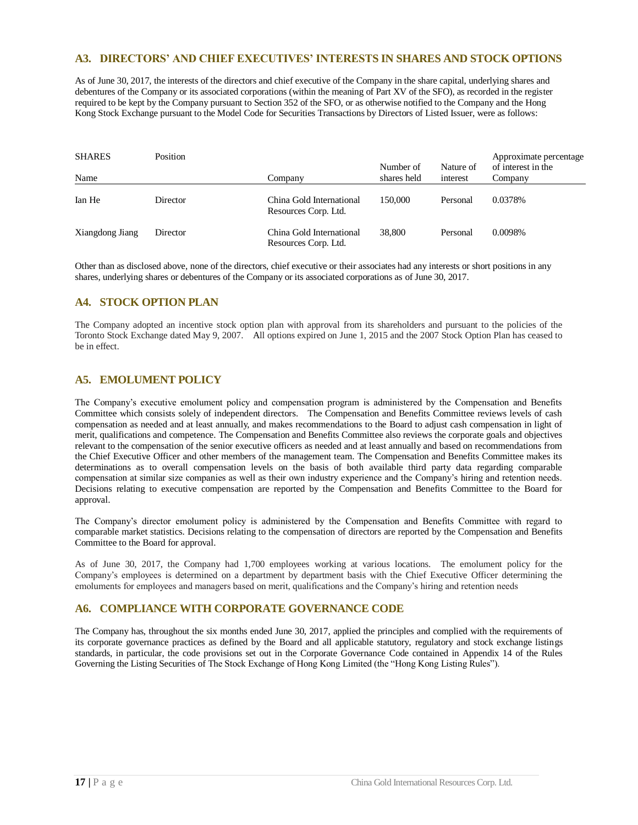## **A3. DIRECTORS' AND CHIEF EXECUTIVES' INTERESTS IN SHARES AND STOCK OPTIONS**

As of June 30, 2017, the interests of the directors and chief executive of the Company in the share capital, underlying shares and debentures of the Company or its associated corporations (within the meaning of Part XV of the SFO), as recorded in the register required to be kept by the Company pursuant to Section 352 of the SFO, or as otherwise notified to the Company and the Hong Kong Stock Exchange pursuant to the Model Code for Securities Transactions by Directors of Listed Issuer, were as follows:

| <b>SHARES</b><br>Name | Position | Company                                          | Number of<br>shares held | Nature of<br>interest | Approximate percentage<br>of interest in the<br>Company |
|-----------------------|----------|--------------------------------------------------|--------------------------|-----------------------|---------------------------------------------------------|
|                       |          |                                                  |                          |                       |                                                         |
| Ian He                | Director | China Gold International<br>Resources Corp. Ltd. | 150,000                  | Personal              | 0.0378%                                                 |
| Xiangdong Jiang       | Director | China Gold International<br>Resources Corp. Ltd. | 38,800                   | Personal              | 0.0098%                                                 |

Other than as disclosed above, none of the directors, chief executive or their associates had any interests or short positions in any shares, underlying shares or debentures of the Company or its associated corporations as of June 30, 2017.

## **A4. STOCK OPTION PLAN**

The Company adopted an incentive stock option plan with approval from its shareholders and pursuant to the policies of the Toronto Stock Exchange dated May 9, 2007. All options expired on June 1, 2015 and the 2007 Stock Option Plan has ceased to be in effect.

## **A5. EMOLUMENT POLICY**

The Company's executive emolument policy and compensation program is administered by the Compensation and Benefits Committee which consists solely of independent directors. The Compensation and Benefits Committee reviews levels of cash compensation as needed and at least annually, and makes recommendations to the Board to adjust cash compensation in light of merit, qualifications and competence. The Compensation and Benefits Committee also reviews the corporate goals and objectives relevant to the compensation of the senior executive officers as needed and at least annually and based on recommendations from the Chief Executive Officer and other members of the management team. The Compensation and Benefits Committee makes its determinations as to overall compensation levels on the basis of both available third party data regarding comparable compensation at similar size companies as well as their own industry experience and the Company's hiring and retention needs. Decisions relating to executive compensation are reported by the Compensation and Benefits Committee to the Board for approval.

The Company's director emolument policy is administered by the Compensation and Benefits Committee with regard to comparable market statistics. Decisions relating to the compensation of directors are reported by the Compensation and Benefits Committee to the Board for approval.

As of June 30, 2017, the Company had 1,700 employees working at various locations. The emolument policy for the Company's employees is determined on a department by department basis with the Chief Executive Officer determining the emoluments for employees and managers based on merit, qualifications and the Company's hiring and retention needs

## **A6. COMPLIANCE WITH CORPORATE GOVERNANCE CODE**

The Company has, throughout the six months ended June 30, 2017, applied the principles and complied with the requirements of its corporate governance practices as defined by the Board and all applicable statutory, regulatory and stock exchange listings standards, in particular, the code provisions set out in the Corporate Governance Code contained in Appendix 14 of the Rules Governing the Listing Securities of The Stock Exchange of Hong Kong Limited (the "Hong Kong Listing Rules").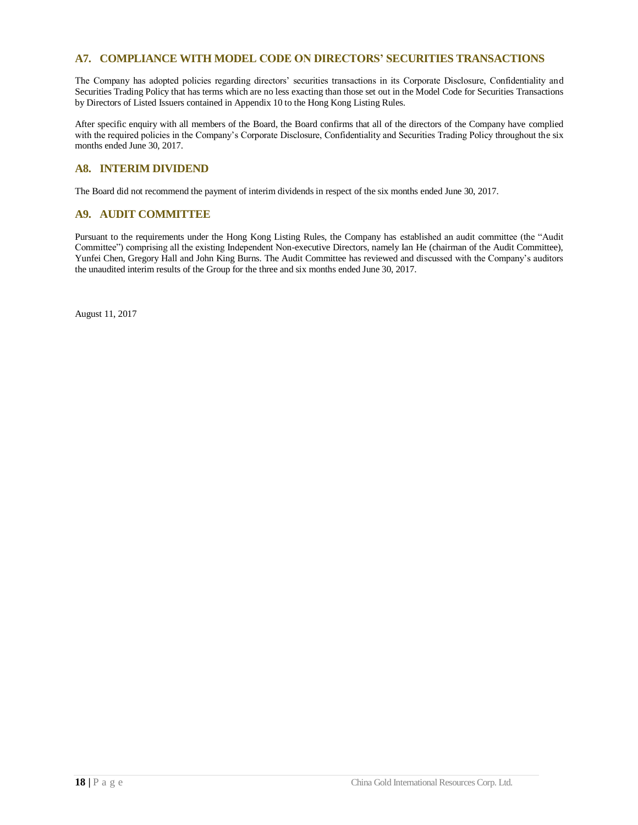## **A7. COMPLIANCE WITH MODEL CODE ON DIRECTORS' SECURITIES TRANSACTIONS**

The Company has adopted policies regarding directors' securities transactions in its Corporate Disclosure, Confidentiality and Securities Trading Policy that has terms which are no less exacting than those set out in the Model Code for Securities Transactions by Directors of Listed Issuers contained in Appendix 10 to the Hong Kong Listing Rules.

After specific enquiry with all members of the Board, the Board confirms that all of the directors of the Company have complied with the required policies in the Company's Corporate Disclosure, Confidentiality and Securities Trading Policy throughout the six months ended June 30, 2017.

## **A8. INTERIM DIVIDEND**

The Board did not recommend the payment of interim dividends in respect of the six months ended June 30, 2017.

## **A9. AUDIT COMMITTEE**

Pursuant to the requirements under the Hong Kong Listing Rules, the Company has established an audit committee (the "Audit Committee") comprising all the existing Independent Non-executive Directors, namely Ian He (chairman of the Audit Committee), Yunfei Chen, Gregory Hall and John King Burns. The Audit Committee has reviewed and discussed with the Company's auditors the unaudited interim results of the Group for the three and six months ended June 30, 2017.

August 11, 2017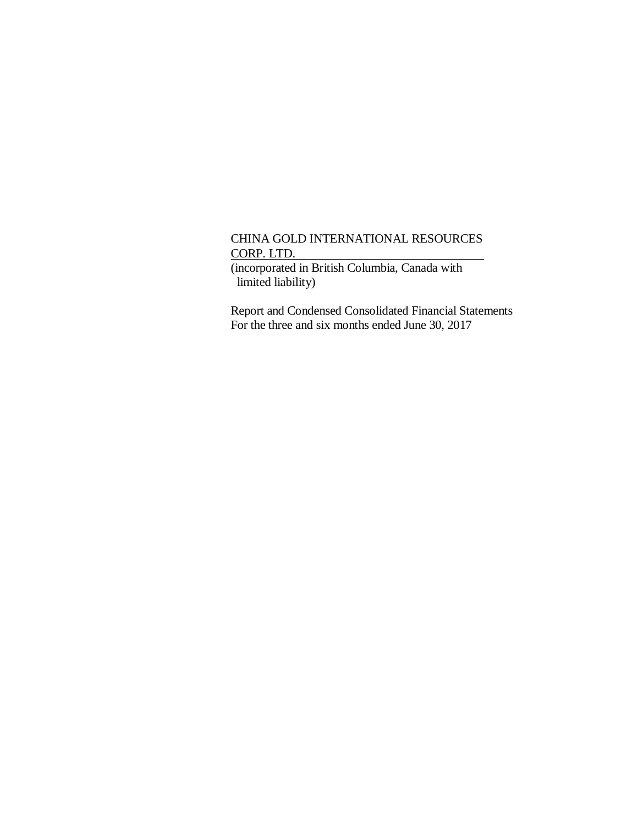(incorporated in British Columbia, Canada with limited liability)

Report and Condensed Consolidated Financial Statements For the three and six months ended June 30, 2017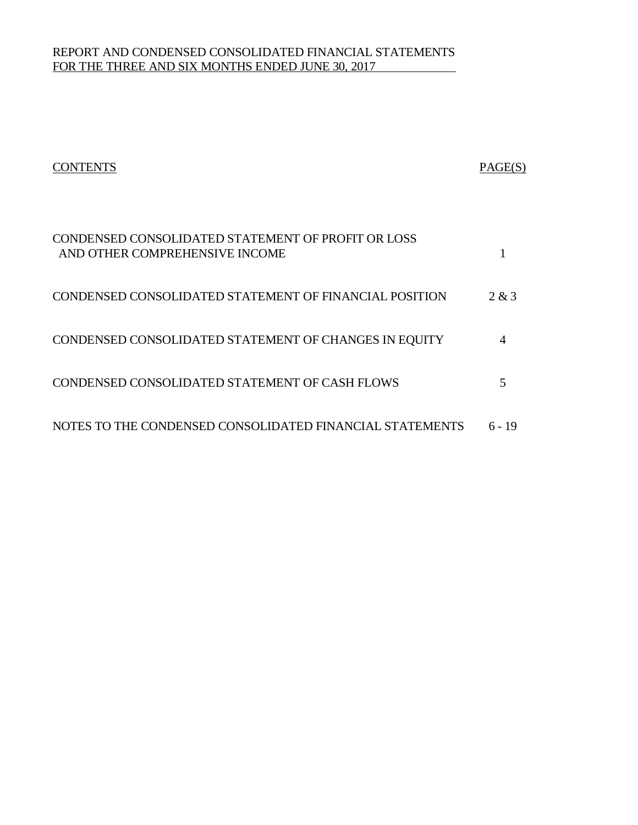# REPORT AND CONDENSED CONSOLIDATED FINANCIAL STATEMENTS FOR THE THREE AND SIX MONTHS ENDED JUNE 30, 2017

| <b>CONTENTS</b>                                                                      | PAGE(S) |
|--------------------------------------------------------------------------------------|---------|
| CONDENSED CONSOLIDATED STATEMENT OF PROFIT OR LOSS<br>AND OTHER COMPREHENSIVE INCOME |         |
| CONDENSED CONSOLIDATED STATEMENT OF FINANCIAL POSITION                               | 2 & 3   |
| CONDENSED CONSOLIDATED STATEMENT OF CHANGES IN EQUITY                                | 4       |
| CONDENSED CONSOLIDATED STATEMENT OF CASH FLOWS                                       | 5       |
| NOTES TO THE CONDENSED CONSOLIDATED FINANCIAL STATEMENTS                             | 6 - 19  |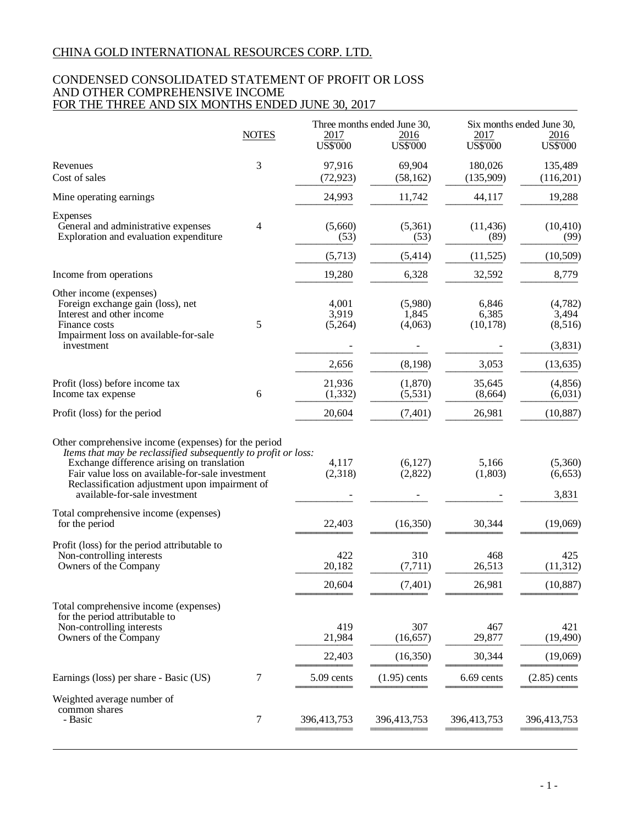## CONDENSED CONSOLIDATED STATEMENT OF PROFIT OR LOSS AND OTHER COMPREHENSIVE INCOME FOR THE THREE AND SIX MONTHS ENDED JUNE 30, 2017

|                                                                                                                                                                                                                                                                                                             |              | Three months ended June 30, |                              | Six months ended June 30,   |                                        |  |
|-------------------------------------------------------------------------------------------------------------------------------------------------------------------------------------------------------------------------------------------------------------------------------------------------------------|--------------|-----------------------------|------------------------------|-----------------------------|----------------------------------------|--|
|                                                                                                                                                                                                                                                                                                             | <b>NOTES</b> | 2017<br><b>US\$'000</b>     | 2016<br>US\$'000             | 2017<br><b>US\$'000</b>     | 2016<br><b>US\$'000</b>                |  |
| Revenues<br>Cost of sales                                                                                                                                                                                                                                                                                   | 3            | 97,916<br>(72, 923)         | 69,904<br>(58, 162)          | 180,026<br>(135,909)        | 135,489<br>(116,201)                   |  |
| Mine operating earnings                                                                                                                                                                                                                                                                                     |              | 24,993                      | 11,742                       | 44,117                      | 19,288                                 |  |
| Expenses<br>General and administrative expenses<br>Exploration and evaluation expenditure                                                                                                                                                                                                                   | 4            | (5,660)<br>(53)             | (5,361)<br>(53)              | (11, 436)<br>(89)           | (10, 410)<br>(99)                      |  |
|                                                                                                                                                                                                                                                                                                             |              | (5,713)                     | (5, 414)                     | (11, 525)                   | (10,509)                               |  |
| Income from operations                                                                                                                                                                                                                                                                                      |              | 19,280                      | 6,328                        | 32,592                      | 8,779                                  |  |
| Other income (expenses)<br>Foreign exchange gain (loss), net<br>Interest and other income<br>Finance costs<br>Impairment loss on available-for-sale<br>investment                                                                                                                                           | 5            | 4,001<br>3,919<br>(5,264)   | (5,980)<br>1,845<br>(4,063)  | 6,846<br>6,385<br>(10, 178) | (4,782)<br>3,494<br>(8,516)<br>(3,831) |  |
|                                                                                                                                                                                                                                                                                                             |              | 2,656                       | (8, 198)                     | 3,053                       | (13, 635)                              |  |
| Profit (loss) before income tax<br>Income tax expense                                                                                                                                                                                                                                                       | 6            | 21,936<br>(1, 332)          | (1,870)<br>(5,531)           | 35,645<br>(8,664)           | (4, 856)<br>(6,031)                    |  |
| Profit (loss) for the period                                                                                                                                                                                                                                                                                |              | 20,604                      | (7,401)                      | 26,981                      | (10, 887)                              |  |
| Other comprehensive income (expenses) for the period<br>Items that may be reclassified subsequently to profit or loss:<br>Exchange difference arising on translation<br>Fair value loss on available-for-sale investment<br>Reclassification adjustment upon impairment of<br>available-for-sale investment |              | 4,117<br>(2,318)            | (6,127)<br>(2,822)           | 5,166<br>(1,803)            | (5,360)<br>(6, 653)<br>3,831           |  |
| Total comprehensive income (expenses)<br>for the period                                                                                                                                                                                                                                                     |              | 22,403                      | (16,350)                     | 30,344                      | (19,069)                               |  |
| Profit (loss) for the period attributable to<br>Non-controlling interests<br>Owners of the Company                                                                                                                                                                                                          |              | 422<br>20,182<br>20,604     | 310<br>(7, 711)<br>(7, 401)  | 468<br>26,513<br>26,981     | 425<br>(11, 312)<br>(10, 887)          |  |
| Total comprehensive income (expenses)<br>for the period attributable to<br>Non-controlling interests<br>Owners of the Company                                                                                                                                                                               |              | 419<br>21,984<br>22,403     | 307<br>(16, 657)<br>(16,350) | 467<br>29,877<br>30,344     | 421<br>(19, 490)<br>(19,069)           |  |
|                                                                                                                                                                                                                                                                                                             |              | 5.09 cents                  |                              | 6.69 cents                  |                                        |  |
| Earnings (loss) per share - Basic (US)                                                                                                                                                                                                                                                                      | 7            |                             | $(1.95)$ cents               |                             | $(2.85)$ cents                         |  |
| Weighted average number of<br>common shares<br>- Basic                                                                                                                                                                                                                                                      | 7            | 396,413,753                 | 396,413,753                  | 396,413,753                 | 396,413,753                            |  |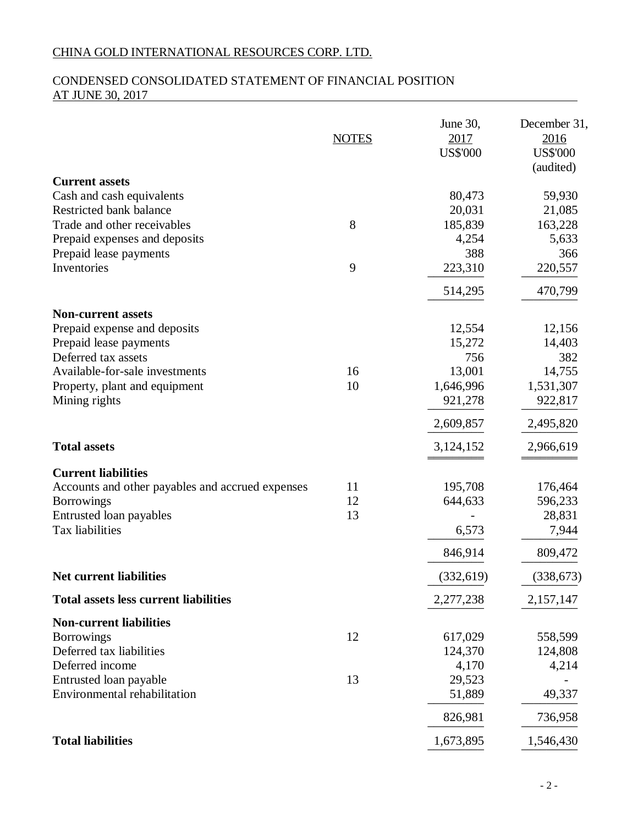# CONDENSED CONSOLIDATED STATEMENT OF FINANCIAL POSITION AT JUNE 30, 2017

|                                                                                                                                                                                                | <b>NOTES</b>   | June 30,<br>2017<br><b>US\$'000</b>                                    | December 31,<br>2016<br><b>US\$'000</b><br>(audited)                   |
|------------------------------------------------------------------------------------------------------------------------------------------------------------------------------------------------|----------------|------------------------------------------------------------------------|------------------------------------------------------------------------|
| <b>Current assets</b><br>Cash and cash equivalents<br>Restricted bank balance<br>Trade and other receivables<br>Prepaid expenses and deposits                                                  | 8              | 80,473<br>20,031<br>185,839<br>4,254                                   | 59,930<br>21,085<br>163,228<br>5,633                                   |
| Prepaid lease payments<br>Inventories                                                                                                                                                          | 9              | 388<br>223,310<br>514,295                                              | 366<br>220,557<br>470,799                                              |
| <b>Non-current assets</b><br>Prepaid expense and deposits<br>Prepaid lease payments<br>Deferred tax assets<br>Available-for-sale investments<br>Property, plant and equipment<br>Mining rights | 16<br>10       | 12,554<br>15,272<br>756<br>13,001<br>1,646,996<br>921,278<br>2,609,857 | 12,156<br>14,403<br>382<br>14,755<br>1,531,307<br>922,817<br>2,495,820 |
| <b>Total assets</b>                                                                                                                                                                            |                | 3,124,152                                                              | 2,966,619                                                              |
| <b>Current liabilities</b><br>Accounts and other payables and accrued expenses<br><b>Borrowings</b><br>Entrusted loan payables<br>Tax liabilities                                              | 11<br>12<br>13 | 195,708<br>644,633<br>6,573<br>846,914                                 | 176,464<br>596,233<br>28,831<br>7,944<br>809,472                       |
| <b>Net current liabilities</b>                                                                                                                                                                 |                | (332, 619)                                                             | (338, 673)                                                             |
| <b>Total assets less current liabilities</b>                                                                                                                                                   |                | 2,277,238                                                              | 2,157,147                                                              |
| <b>Non-current liabilities</b><br><b>Borrowings</b><br>Deferred tax liabilities<br>Deferred income                                                                                             | 12             | 617,029<br>124,370<br>4,170                                            | 558,599<br>124,808<br>4,214                                            |
| Entrusted loan payable<br>Environmental rehabilitation                                                                                                                                         | 13             | 29,523<br>51,889                                                       | 49,337                                                                 |
|                                                                                                                                                                                                |                | 826,981                                                                | 736,958                                                                |
| <b>Total liabilities</b>                                                                                                                                                                       |                | 1,673,895                                                              | 1,546,430                                                              |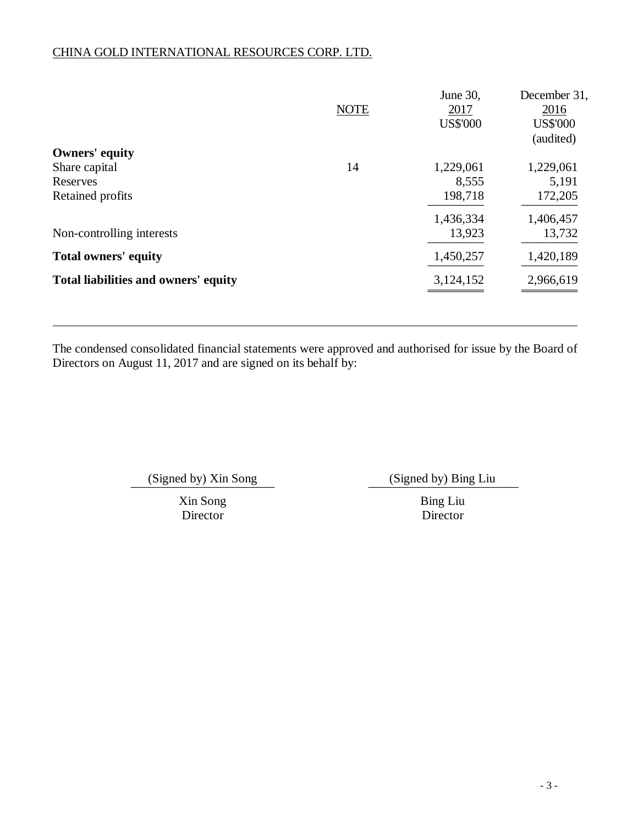|                                      | <b>NOTE</b> | June 30,<br>2017<br><b>US\$'000</b> | December 31,<br>2016<br><b>US\$'000</b><br>(audited) |
|--------------------------------------|-------------|-------------------------------------|------------------------------------------------------|
| <b>Owners' equity</b>                |             |                                     |                                                      |
| Share capital                        | 14          | 1,229,061                           | 1,229,061                                            |
| Reserves                             |             | 8,555                               | 5,191                                                |
| Retained profits                     |             | 198,718                             | 172,205                                              |
|                                      |             | 1,436,334                           | 1,406,457                                            |
| Non-controlling interests            |             | 13,923                              | 13,732                                               |
| <b>Total owners' equity</b>          |             | 1,450,257                           | 1,420,189                                            |
| Total liabilities and owners' equity |             | 3,124,152                           | 2,966,619                                            |
|                                      |             |                                     |                                                      |

The condensed consolidated financial statements were approved and authorised for issue by the Board of Directors on August 11, 2017 and are signed on its behalf by:

(Signed by) Xin Song (Signed by) Bing Liu

Xin Song Bing Liu Director Director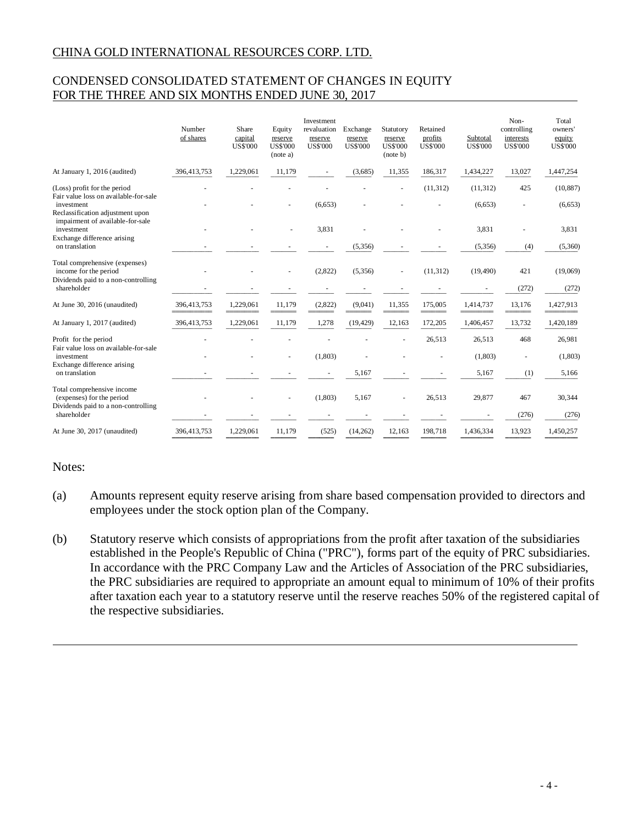# CONDENSED CONSOLIDATED STATEMENT OF CHANGES IN EQUITY FOR THE THREE AND SIX MONTHS ENDED JUNE 30, 2017

|                                                                                                | Number<br>of shares | Share<br>capital<br><b>US\$'000</b> | Equity<br>reserve<br><b>US\$'000</b><br>(note a) | <b>Investment</b><br>revaluation<br>reserve<br><b>US\$'000</b> | Exchange<br>reserve<br><b>US\$'000</b> | Statutory<br>reserve<br><b>US\$'000</b><br>(note b) | Retained<br>profits<br><b>US\$'000</b> | Subtotal<br><b>US\$'000</b> | Non-<br>controlling<br>interests<br><b>US\$'000</b> | Total<br>owners'<br>equity<br><b>US\$'000</b> |
|------------------------------------------------------------------------------------------------|---------------------|-------------------------------------|--------------------------------------------------|----------------------------------------------------------------|----------------------------------------|-----------------------------------------------------|----------------------------------------|-----------------------------|-----------------------------------------------------|-----------------------------------------------|
| At January 1, 2016 (audited)                                                                   | 396,413,753         | 1,229,061                           | 11,179                                           |                                                                | (3,685)                                | 11,355                                              | 186,317                                | 1,434,227                   | 13,027                                              | 1,447,254                                     |
| (Loss) profit for the period                                                                   |                     |                                     |                                                  |                                                                |                                        |                                                     | (11, 312)                              | (11, 312)                   | 425                                                 | (10, 887)                                     |
| Fair value loss on available-for-sale<br>investment<br>Reclassification adjustment upon        |                     |                                     |                                                  | (6,653)                                                        |                                        |                                                     |                                        | (6,653)                     |                                                     | (6,653)                                       |
| impairment of available-for-sale<br>investment                                                 |                     |                                     |                                                  | 3,831                                                          |                                        |                                                     |                                        | 3,831                       |                                                     | 3,831                                         |
| Exchange difference arising<br>on translation                                                  |                     |                                     |                                                  |                                                                | (5,356)                                |                                                     |                                        | (5,356)                     | (4)                                                 | (5,360)                                       |
| Total comprehensive (expenses)<br>income for the period<br>Dividends paid to a non-controlling |                     |                                     |                                                  | (2,822)                                                        | (5,356)                                |                                                     | (11, 312)                              | (19, 490)                   | 421                                                 | (19,069)                                      |
| shareholder                                                                                    |                     |                                     |                                                  |                                                                |                                        |                                                     |                                        |                             | (272)                                               | (272)                                         |
| At June 30, 2016 (unaudited)                                                                   | 396,413,753         | 1,229,061                           | 11,179                                           | (2,822)                                                        | (9,041)                                | 11,355                                              | 175,005                                | 1,414,737                   | 13,176                                              | 1,427,913                                     |
| At January 1, 2017 (audited)                                                                   | 396,413,753         | 1,229,061                           | 11,179                                           | 1,278                                                          | (19, 429)                              | 12,163                                              | 172,205                                | 1,406,457                   | 13,732                                              | 1,420,189                                     |
| Profit for the period                                                                          |                     |                                     |                                                  |                                                                |                                        |                                                     | 26,513                                 | 26,513                      | 468                                                 | 26,981                                        |
| Fair value loss on available-for-sale<br>investment                                            |                     |                                     |                                                  | (1,803)                                                        |                                        |                                                     |                                        | (1, 803)                    |                                                     | (1, 803)                                      |
| Exchange difference arising<br>on translation                                                  |                     |                                     |                                                  |                                                                | 5,167                                  |                                                     |                                        | 5,167                       | (1)                                                 | 5,166                                         |
| Total comprehensive income<br>(expenses) for the period<br>Dividends paid to a non-controlling |                     |                                     |                                                  | (1,803)                                                        | 5,167                                  |                                                     | 26,513                                 | 29,877                      | 467                                                 | 30,344                                        |
| shareholder                                                                                    |                     |                                     |                                                  |                                                                |                                        |                                                     |                                        |                             | (276)                                               | (276)                                         |
| At June 30, 2017 (unaudited)                                                                   | 396,413,753         | 1,229,061                           | 11,179                                           | (525)                                                          | (14,262)                               | 12,163                                              | 198,718                                | 1,436,334                   | 13,923                                              | 1,450,257                                     |

## Notes:

- (a) Amounts represent equity reserve arising from share based compensation provided to directors and employees under the stock option plan of the Company.
- (b) Statutory reserve which consists of appropriations from the profit after taxation of the subsidiaries established in the People's Republic of China ("PRC"), forms part of the equity of PRC subsidiaries. In accordance with the PRC Company Law and the Articles of Association of the PRC subsidiaries, the PRC subsidiaries are required to appropriate an amount equal to minimum of 10% of their profits after taxation each year to a statutory reserve until the reserve reaches 50% of the registered capital of the respective subsidiaries.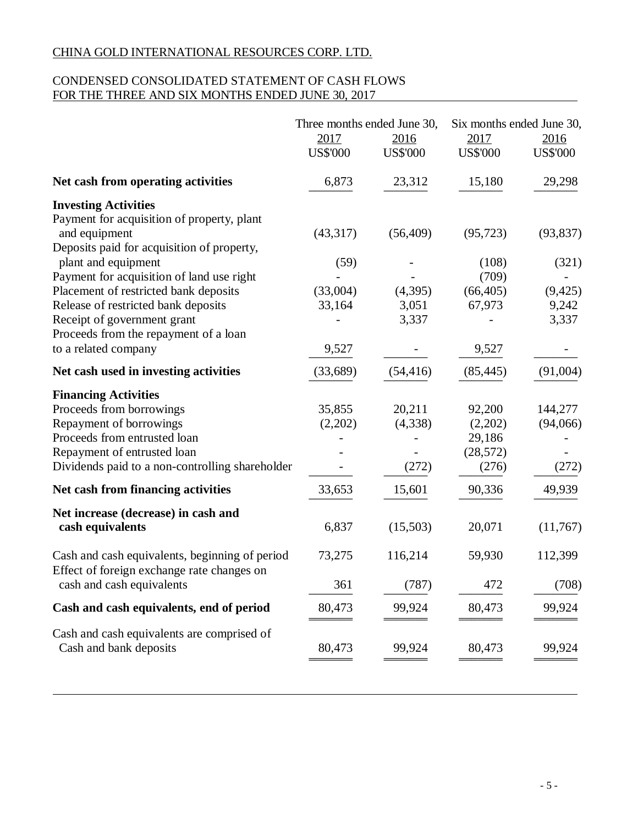## CONDENSED CONSOLIDATED STATEMENT OF CASH FLOWS FOR THE THREE AND SIX MONTHS ENDED JUNE 30, 2017

|                                                                                              | Three months ended June 30,<br>2017<br><b>US\$'000</b> | 2016<br><b>US\$'000</b> | Six months ended June 30,<br>2017<br><b>US\$'000</b> | 2016<br><b>US\$'000</b> |
|----------------------------------------------------------------------------------------------|--------------------------------------------------------|-------------------------|------------------------------------------------------|-------------------------|
| Net cash from operating activities                                                           | 6,873                                                  | 23,312                  | 15,180                                               | 29,298                  |
| <b>Investing Activities</b>                                                                  |                                                        |                         |                                                      |                         |
| Payment for acquisition of property, plant<br>and equipment                                  | (43,317)                                               | (56, 409)               | (95, 723)                                            | (93, 837)               |
| Deposits paid for acquisition of property,                                                   |                                                        |                         |                                                      |                         |
| plant and equipment                                                                          | (59)                                                   |                         | (108)                                                | (321)                   |
| Payment for acquisition of land use right                                                    |                                                        |                         | (709)                                                |                         |
| Placement of restricted bank deposits                                                        | (33,004)                                               | (4,395)                 | (66, 405)                                            | (9, 425)                |
| Release of restricted bank deposits<br>Receipt of government grant                           | 33,164                                                 | 3,051<br>3,337          | 67,973                                               | 9,242<br>3,337          |
| Proceeds from the repayment of a loan                                                        |                                                        |                         |                                                      |                         |
| to a related company                                                                         | 9,527                                                  |                         | 9,527                                                |                         |
| Net cash used in investing activities                                                        | (33,689)                                               | (54, 416)               | (85, 445)                                            | (91,004)                |
| <b>Financing Activities</b>                                                                  |                                                        |                         |                                                      |                         |
| Proceeds from borrowings                                                                     | 35,855                                                 | 20,211                  | 92,200                                               | 144,277                 |
| Repayment of borrowings                                                                      | (2,202)                                                | (4,338)                 | (2,202)                                              | (94,066)                |
| Proceeds from entrusted loan                                                                 |                                                        |                         | 29,186                                               |                         |
| Repayment of entrusted loan                                                                  |                                                        |                         | (28, 572)                                            |                         |
| Dividends paid to a non-controlling shareholder                                              |                                                        | (272)                   | (276)                                                | (272)                   |
| Net cash from financing activities                                                           | 33,653                                                 | 15,601                  | 90,336                                               | 49,939                  |
| Net increase (decrease) in cash and                                                          |                                                        |                         |                                                      |                         |
| cash equivalents                                                                             | 6,837                                                  | (15,503)                | 20,071                                               | (11,767)                |
| Cash and cash equivalents, beginning of period<br>Effect of foreign exchange rate changes on | 73,275                                                 | 116,214                 | 59,930                                               | 112,399                 |
| cash and cash equivalents                                                                    | 361                                                    | (787)                   | 472                                                  | (708)                   |
| Cash and cash equivalents, end of period                                                     | 80,473                                                 | 99,924                  | 80,473                                               | 99,924                  |
| Cash and cash equivalents are comprised of                                                   |                                                        |                         |                                                      |                         |
| Cash and bank deposits                                                                       | 80,473                                                 | 99,924                  | 80,473                                               | 99,924                  |
|                                                                                              |                                                        |                         |                                                      |                         |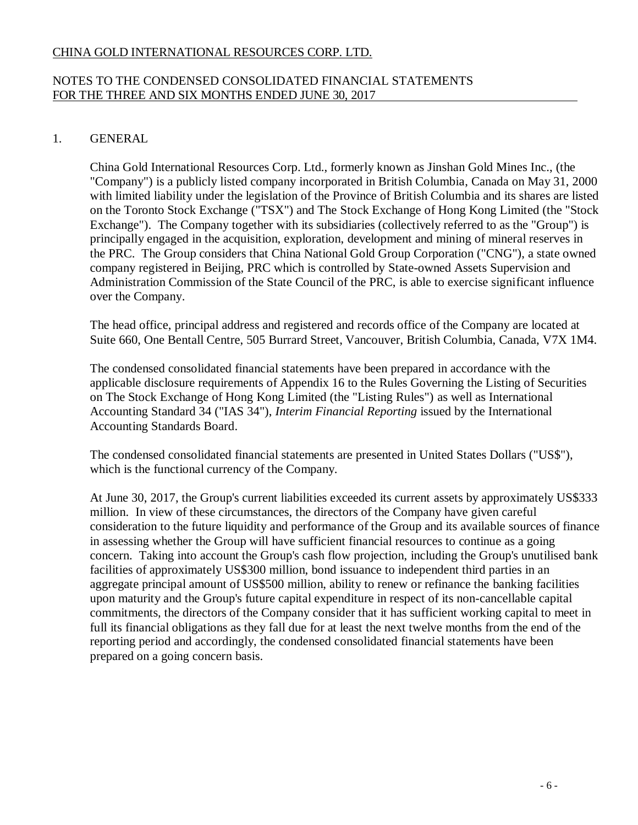## NOTES TO THE CONDENSED CONSOLIDATED FINANCIAL STATEMENTS FOR THE THREE AND SIX MONTHS ENDED JUNE 30, 2017

# 1. GENERAL

China Gold International Resources Corp. Ltd., formerly known as Jinshan Gold Mines Inc., (the "Company") is a publicly listed company incorporated in British Columbia, Canada on May 31, 2000 with limited liability under the legislation of the Province of British Columbia and its shares are listed on the Toronto Stock Exchange ("TSX") and The Stock Exchange of Hong Kong Limited (the "Stock Exchange"). The Company together with its subsidiaries (collectively referred to as the "Group") is principally engaged in the acquisition, exploration, development and mining of mineral reserves in the PRC. The Group considers that China National Gold Group Corporation ("CNG"), a state owned company registered in Beijing, PRC which is controlled by State-owned Assets Supervision and Administration Commission of the State Council of the PRC, is able to exercise significant influence over the Company.

The head office, principal address and registered and records office of the Company are located at Suite 660, One Bentall Centre, 505 Burrard Street, Vancouver, British Columbia, Canada, V7X 1M4.

The condensed consolidated financial statements have been prepared in accordance with the applicable disclosure requirements of Appendix 16 to the Rules Governing the Listing of Securities on The Stock Exchange of Hong Kong Limited (the "Listing Rules") as well as International Accounting Standard 34 ("IAS 34"), *Interim Financial Reporting* issued by the International Accounting Standards Board.

The condensed consolidated financial statements are presented in United States Dollars ("US\$"), which is the functional currency of the Company.

At June 30, 2017, the Group's current liabilities exceeded its current assets by approximately US\$333 million. In view of these circumstances, the directors of the Company have given careful consideration to the future liquidity and performance of the Group and its available sources of finance in assessing whether the Group will have sufficient financial resources to continue as a going concern. Taking into account the Group's cash flow projection, including the Group's unutilised bank facilities of approximately US\$300 million, bond issuance to independent third parties in an aggregate principal amount of US\$500 million, ability to renew or refinance the banking facilities upon maturity and the Group's future capital expenditure in respect of its non-cancellable capital commitments, the directors of the Company consider that it has sufficient working capital to meet in full its financial obligations as they fall due for at least the next twelve months from the end of the reporting period and accordingly, the condensed consolidated financial statements have been prepared on a going concern basis.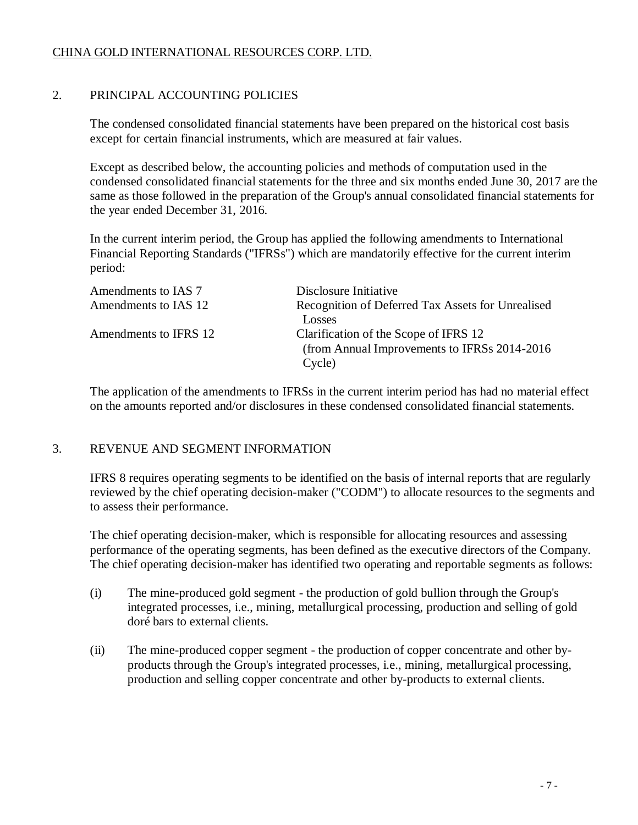# 2. PRINCIPAL ACCOUNTING POLICIES

The condensed consolidated financial statements have been prepared on the historical cost basis except for certain financial instruments, which are measured at fair values.

Except as described below, the accounting policies and methods of computation used in the condensed consolidated financial statements for the three and six months ended June 30, 2017 are the same as those followed in the preparation of the Group's annual consolidated financial statements for the year ended December 31, 2016.

In the current interim period, the Group has applied the following amendments to International Financial Reporting Standards ("IFRSs") which are mandatorily effective for the current interim period:

| Amendments to IAS 7   | Disclosure Initiative                             |
|-----------------------|---------------------------------------------------|
| Amendments to IAS 12  | Recognition of Deferred Tax Assets for Unrealised |
|                       | Losses                                            |
| Amendments to IFRS 12 | Clarification of the Scope of IFRS 12             |
|                       | (from Annual Improvements to IFRSs 2014-2016)     |
|                       | Cycle)                                            |

The application of the amendments to IFRSs in the current interim period has had no material effect on the amounts reported and/or disclosures in these condensed consolidated financial statements.

# 3. REVENUE AND SEGMENT INFORMATION

IFRS 8 requires operating segments to be identified on the basis of internal reports that are regularly reviewed by the chief operating decision-maker ("CODM") to allocate resources to the segments and to assess their performance.

The chief operating decision-maker, which is responsible for allocating resources and assessing performance of the operating segments, has been defined as the executive directors of the Company. The chief operating decision-maker has identified two operating and reportable segments as follows:

- (i) The mine-produced gold segment the production of gold bullion through the Group's integrated processes, i.e., mining, metallurgical processing, production and selling of gold doré bars to external clients.
- (ii) The mine-produced copper segment the production of copper concentrate and other byproducts through the Group's integrated processes, i.e., mining, metallurgical processing, production and selling copper concentrate and other by-products to external clients.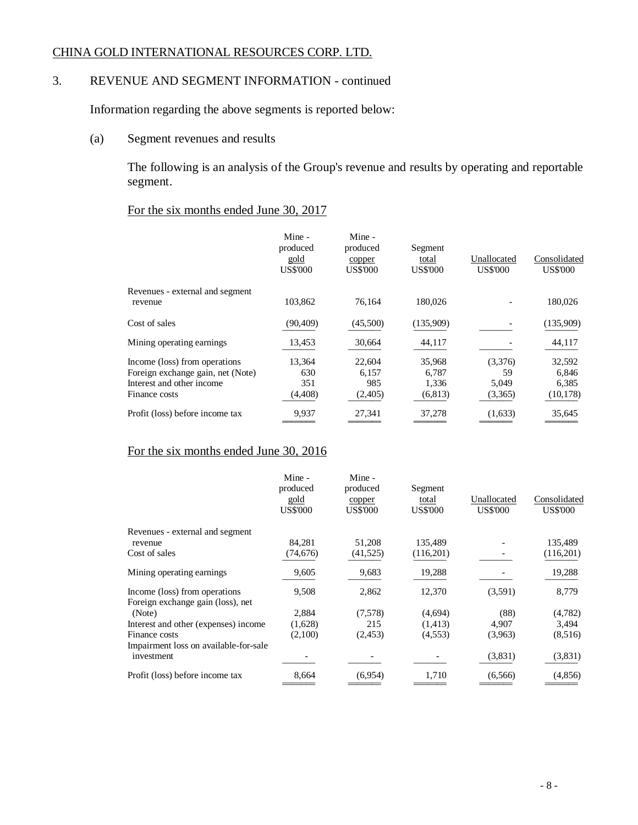# 3. REVENUE AND SEGMENT INFORMATION - continued

Information regarding the above segments is reported below:

(a) Segment revenues and results

The following is an analysis of the Group's revenue and results by operating and reportable segment.

## For the six months ended June 30, 2017

|                                                                                                                  | Mine -<br>produced<br>gold<br><b>US\$'000</b> | Mine -<br>produced<br>copper<br><b>US\$'000</b> | Segment<br>total<br><b>US\$'000</b>  | Unallocated<br><b>US\$'000</b>    | Consolidated<br><b>US\$'000</b>       |
|------------------------------------------------------------------------------------------------------------------|-----------------------------------------------|-------------------------------------------------|--------------------------------------|-----------------------------------|---------------------------------------|
| Revenues - external and segment<br>revenue                                                                       | 103,862                                       | 76,164                                          | 180,026                              |                                   | 180,026                               |
| Cost of sales                                                                                                    | (90, 409)                                     | (45,500)                                        | (135,909)                            |                                   | (135,909)                             |
| Mining operating earnings                                                                                        | 13,453                                        | 30,664                                          | 44,117                               |                                   | 44,117                                |
| Income (loss) from operations<br>Foreign exchange gain, net (Note)<br>Interest and other income<br>Finance costs | 13,364<br>630<br>351<br>(4, 408)              | 22,604<br>6,157<br>985<br>(2,405)               | 35,968<br>6,787<br>1,336<br>(6, 813) | (3,376)<br>59<br>5,049<br>(3,365) | 32,592<br>6,846<br>6,385<br>(10, 178) |
| Profit (loss) before income tax                                                                                  | 9,937                                         | 27,341                                          | 37,278                               | (1,633)                           | 35,645                                |

# For the six months ended June 30, 2016

|                                       | Mine -<br>produced<br>gold<br><b>US\$'000</b> | Mine -<br>produced<br>copper<br><b>US\$'000</b> | Segment<br>total<br><b>US\$'000</b> | Unallocated<br><b>US\$'000</b> | Consolidated<br><b>US\$'000</b> |
|---------------------------------------|-----------------------------------------------|-------------------------------------------------|-------------------------------------|--------------------------------|---------------------------------|
| Revenues - external and segment       |                                               |                                                 |                                     |                                |                                 |
| revenue                               | 84,281                                        | 51,208                                          | 135,489                             |                                | 135,489                         |
| Cost of sales                         | (74,676)                                      | (41, 525)                                       | (116,201)                           |                                | (116,201)                       |
| Mining operating earnings.            | 9,605                                         | 9,683                                           | 19,288                              |                                | 19,288                          |
| Income (loss) from operations         | 9,508                                         | 2,862                                           | 12,370                              | (3,591)                        | 8,779                           |
| Foreign exchange gain (loss), net     |                                               |                                                 |                                     |                                |                                 |
| (Note)                                | 2,884                                         | (7,578)                                         | (4,694)                             | (88)                           | (4,782)                         |
| Interest and other (expenses) income  | (1,628)                                       | 215                                             | (1, 413)                            | 4,907                          | 3,494                           |
| Finance costs                         | (2,100)                                       | (2, 453)                                        | (4,553)                             | (3,963)                        | (8,516)                         |
| Impairment loss on available-for-sale |                                               |                                                 |                                     |                                |                                 |
| investment                            |                                               |                                                 |                                     | (3,831)                        | (3,831)                         |
| Profit (loss) before income tax       | 8,664                                         | (6,954)                                         | 1,710                               | (6,566)                        | (4,856)                         |
|                                       |                                               |                                                 |                                     |                                |                                 |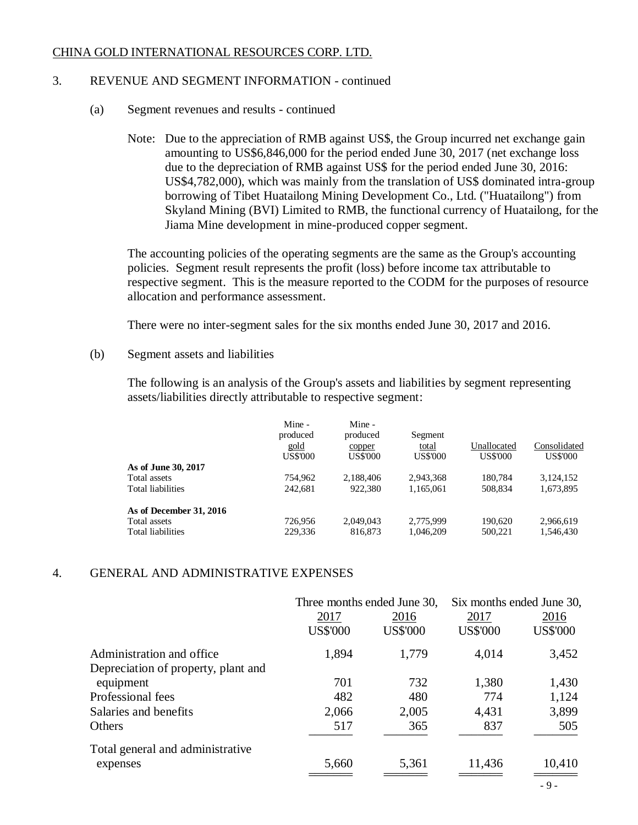## 3. REVENUE AND SEGMENT INFORMATION - continued

- (a) Segment revenues and results continued
	- Note: Due to the appreciation of RMB against US\$, the Group incurred net exchange gain amounting to US\$6,846,000 for the period ended June 30, 2017 (net exchange loss due to the depreciation of RMB against US\$ for the period ended June 30, 2016: US\$4,782,000), which was mainly from the translation of US\$ dominated intra-group borrowing of Tibet Huatailong Mining Development Co., Ltd. ("Huatailong") from Skyland Mining (BVI) Limited to RMB, the functional currency of Huatailong, for the Jiama Mine development in mine-produced copper segment.

The accounting policies of the operating segments are the same as the Group's accounting policies. Segment result represents the profit (loss) before income tax attributable to respective segment. This is the measure reported to the CODM for the purposes of resource allocation and performance assessment.

There were no inter-segment sales for the six months ended June 30, 2017 and 2016.

(b) Segment assets and liabilities

The following is an analysis of the Group's assets and liabilities by segment representing assets/liabilities directly attributable to respective segment:

|                          | Mine -<br>produced<br>gold<br><b>US\$'000</b> | Mine -<br>produced<br>copper<br><b>US\$'000</b> | Segment<br>total<br>US\$'000 | Unallocated<br><b>US\$'000</b> | Consolidated<br><b>US\$'000</b> |
|--------------------------|-----------------------------------------------|-------------------------------------------------|------------------------------|--------------------------------|---------------------------------|
| As of June 30, 2017      |                                               |                                                 |                              |                                |                                 |
| Total assets             | 754.962                                       | 2,188,406                                       | 2.943.368                    | 180.784                        | 3,124,152                       |
| <b>Total liabilities</b> | 242.681                                       | 922,380                                         | 1.165.061                    | 508.834                        | 1,673,895                       |
| As of December 31, 2016  |                                               |                                                 |                              |                                |                                 |
| Total assets             | 726,956                                       | 2,049,043                                       | 2,775,999                    | 190.620                        | 2,966,619                       |
| <b>Total liabilities</b> | 229,336                                       | 816,873                                         | 1.046.209                    | 500.221                        | 1.546.430                       |

## 4. GENERAL AND ADMINISTRATIVE EXPENSES

|                                     |                 | Three months ended June 30, |                 | Six months ended June 30, |
|-------------------------------------|-----------------|-----------------------------|-----------------|---------------------------|
|                                     | 2017            | 2016                        | 2017            | 2016                      |
|                                     | <b>US\$'000</b> | <b>US\$'000</b>             | <b>US\$'000</b> | <b>US\$'000</b>           |
| Administration and office.          | 1,894           | 1,779                       | 4,014           | 3,452                     |
| Depreciation of property, plant and |                 |                             |                 |                           |
| equipment                           | 701             | 732                         | 1,380           | 1,430                     |
| Professional fees                   | 482             | 480                         | 774             | 1,124                     |
| Salaries and benefits               | 2,066           | 2,005                       | 4,431           | 3,899                     |
| Others                              | 517             | 365                         | 837             | 505                       |
| Total general and administrative    |                 |                             |                 |                           |
| expenses                            | 5,660           | 5,361                       | 11,436          | 10,410                    |
|                                     |                 |                             |                 | $\Omega$                  |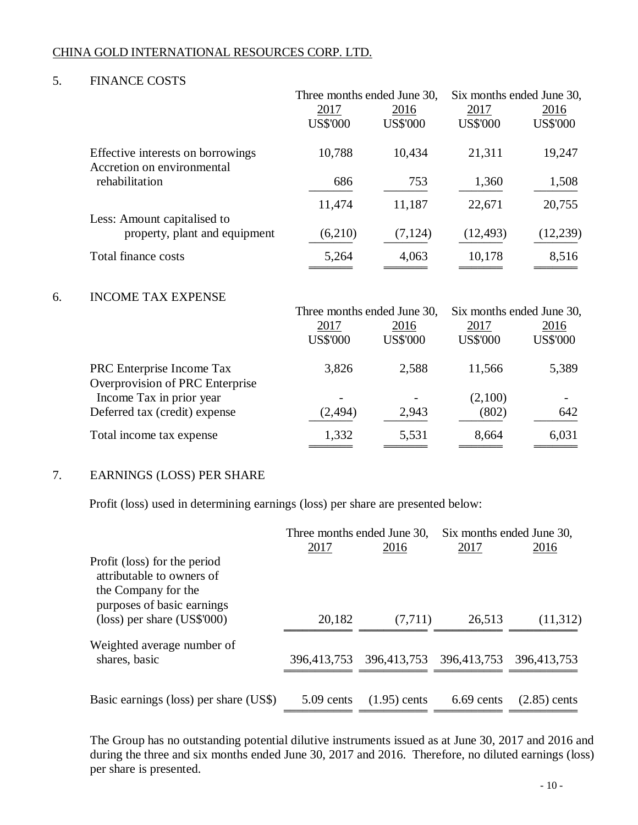## 5. FINANCE COSTS

|                               |                                                                 | Three months ended June 30, |                 | Six months ended June 30, |                 |
|-------------------------------|-----------------------------------------------------------------|-----------------------------|-----------------|---------------------------|-----------------|
|                               |                                                                 | <u>2017</u>                 | <u>2016</u>     | <u>2017</u>               | <u>2016</u>     |
|                               |                                                                 | <b>US\$'000</b>             | <b>US\$'000</b> | <b>US\$'000</b>           | <b>US\$'000</b> |
|                               | Effective interests on borrowings<br>Accretion on environmental | 10,788                      | 10,434          | 21,311                    | 19,247          |
|                               | rehabilitation                                                  | 686                         | 753             | 1,360                     | 1,508           |
|                               | Less: Amount capitalised to                                     | 11,474                      | 11,187          | 22,671                    | 20,755          |
| property, plant and equipment | (6,210)                                                         | (7, 124)                    | (12, 493)       | (12,239)                  |                 |
|                               | Total finance costs                                             | 5,264                       | 4,063           | 10,178                    | 8,516           |
| 6.                            | <b>INCOME TAX EXPENSE</b>                                       |                             |                 |                           |                 |
|                               |                                                                 | Three months ended June 30, |                 | Six months ended June 30, |                 |
|                               |                                                                 | 2017                        | 2016            | 2017                      | 2016            |
|                               |                                                                 | <b>US\$'000</b>             | <b>US\$'000</b> | <b>US\$'000</b>           | <b>US\$'000</b> |
|                               | PRC Enterprise Income Tax                                       | 3,826                       | 2,588           | 11,566                    | 5,389           |
|                               | Overprovision of PRC Enterprise                                 |                             |                 |                           |                 |
|                               | Income Tax in prior year                                        |                             |                 | (2,100)                   |                 |
|                               | Deferred tax (credit) expense                                   | (2, 494)                    | 2,943           | (802)                     | 642             |
|                               | Total income tax expense                                        | 1,332                       | 5,531           | 8,664                     | 6,031           |
|                               |                                                                 |                             |                 |                           |                 |

# 7. EARNINGS (LOSS) PER SHARE

Profit (loss) used in determining earnings (loss) per share are presented below:

|                                                                                                                | Three months ended June 30, |                         | Six months ended June 30, |                |
|----------------------------------------------------------------------------------------------------------------|-----------------------------|-------------------------|---------------------------|----------------|
|                                                                                                                | 2017                        | 2016                    | 2017                      | 2016           |
| Profit (loss) for the period<br>attributable to owners of<br>the Company for the<br>purposes of basic earnings |                             |                         |                           |                |
| $(\text{loss})$ per share $(\text{US$'}000)$                                                                   | 20,182                      | (7, 711)                | 26,513                    | (11,312)       |
| Weighted average number of                                                                                     |                             |                         |                           |                |
| shares, basic                                                                                                  | 396,413,753                 | 396,413,753 396,413,753 |                           | 396,413,753    |
|                                                                                                                |                             |                         |                           |                |
| Basic earnings (loss) per share (US\$)                                                                         | $5.09$ cents                | $(1.95)$ cents          | 6.69 cents                | $(2.85)$ cents |

The Group has no outstanding potential dilutive instruments issued as at June 30, 2017 and 2016 and during the three and six months ended June 30, 2017 and 2016. Therefore, no diluted earnings (loss) per share is presented.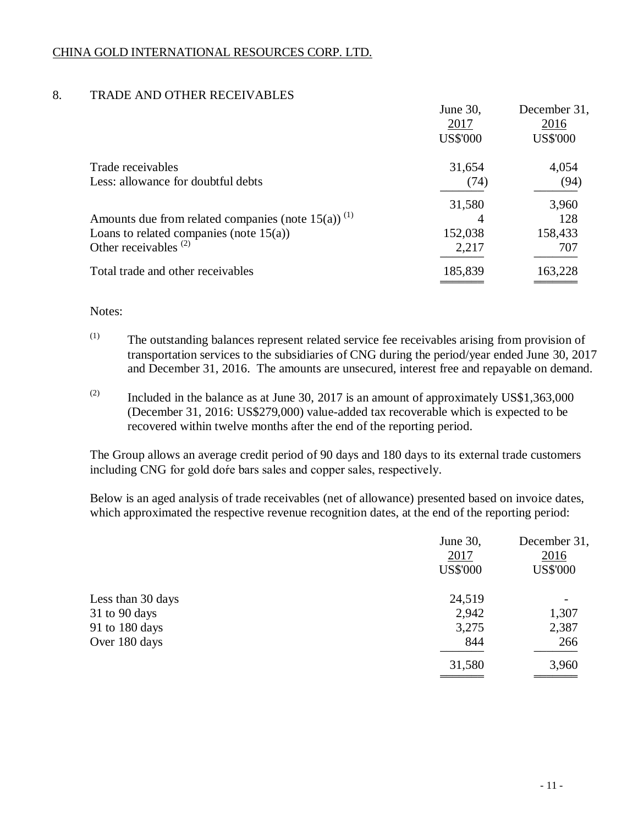# 8. TRADE AND OTHER RECEIVABLES

|                                                                   | June 30,        | December 31,    |
|-------------------------------------------------------------------|-----------------|-----------------|
|                                                                   | 2017            | 2016            |
|                                                                   | <b>US\$'000</b> | <b>US\$'000</b> |
| Trade receivables                                                 | 31,654          | 4,054           |
| Less: allowance for doubtful debts                                | (74)            | (94)            |
|                                                                   | 31,580          | 3,960           |
| Amounts due from related companies (note $15(a)$ ) <sup>(1)</sup> | 4               | 128             |
| Loans to related companies (note $15(a)$ )                        | 152,038         | 158,433         |
| Other receivables $(2)$                                           | 2,217           | 707             |
| Total trade and other receivables                                 | 185,839         | 163,228         |
|                                                                   |                 |                 |

## Notes:

- (1) The outstanding balances represent related service fee receivables arising from provision of transportation services to the subsidiaries of CNG during the period/year ended June 30, 2017 and December 31, 2016. The amounts are unsecured, interest free and repayable on demand.
- $(2)$  Included in the balance as at June 30, 2017 is an amount of approximately US\$1,363,000 (December 31, 2016: US\$279,000) value-added tax recoverable which is expected to be recovered within twelve months after the end of the reporting period.

The Group allows an average credit period of 90 days and 180 days to its external trade customers including CNG for gold doŕe bars sales and copper sales, respectively.

Below is an aged analysis of trade receivables (net of allowance) presented based on invoice dates, which approximated the respective revenue recognition dates, at the end of the reporting period:

|                   | June 30,<br>2017<br><b>US\$'000</b> | December 31,<br>2016<br><b>US\$'000</b> |
|-------------------|-------------------------------------|-----------------------------------------|
| Less than 30 days | 24,519                              |                                         |
| 31 to 90 days     | 2,942                               | 1,307                                   |
| 91 to 180 days    | 3,275                               | 2,387                                   |
| Over 180 days     | 844                                 | 266                                     |
|                   | 31,580                              | 3,960                                   |
|                   |                                     |                                         |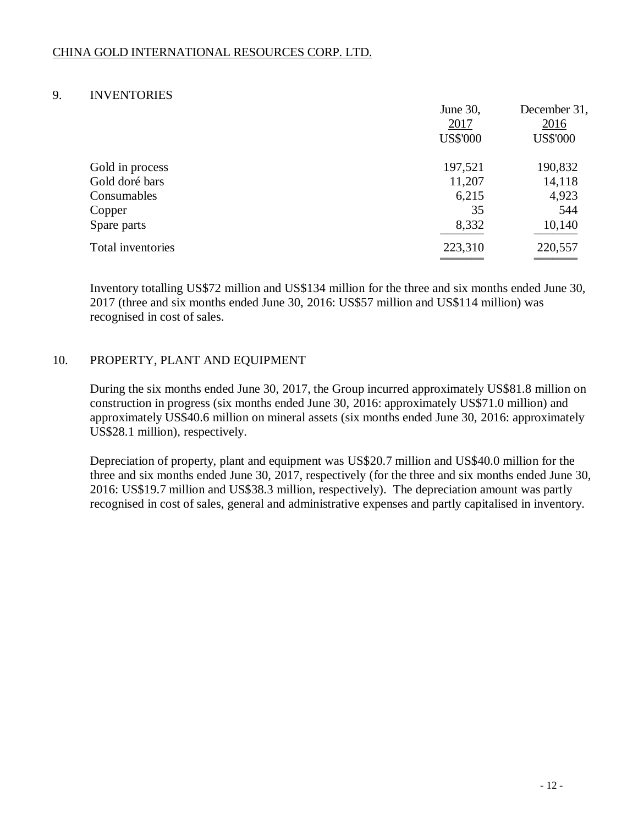## 9. INVENTORIES

|                   | June 30,        | December 31,    |
|-------------------|-----------------|-----------------|
|                   | 2017            | 2016            |
|                   | <b>US\$'000</b> | <b>US\$'000</b> |
| Gold in process   | 197,521         | 190,832         |
| Gold doré bars    | 11,207          | 14,118          |
| Consumables       | 6,215           | 4,923           |
| Copper            | 35              | 544             |
| Spare parts       | 8,332           | 10,140          |
| Total inventories | 223,310         | 220,557         |
|                   |                 |                 |

Inventory totalling US\$72 million and US\$134 million for the three and six months ended June 30, 2017 (three and six months ended June 30, 2016: US\$57 million and US\$114 million) was recognised in cost of sales.

## 10. PROPERTY, PLANT AND EQUIPMENT

During the six months ended June 30, 2017, the Group incurred approximately US\$81.8 million on construction in progress (six months ended June 30, 2016: approximately US\$71.0 million) and approximately US\$40.6 million on mineral assets (six months ended June 30, 2016: approximately US\$28.1 million), respectively.

Depreciation of property, plant and equipment was US\$20.7 million and US\$40.0 million for the three and six months ended June 30, 2017, respectively (for the three and six months ended June 30, 2016: US\$19.7 million and US\$38.3 million, respectively). The depreciation amount was partly recognised in cost of sales, general and administrative expenses and partly capitalised in inventory.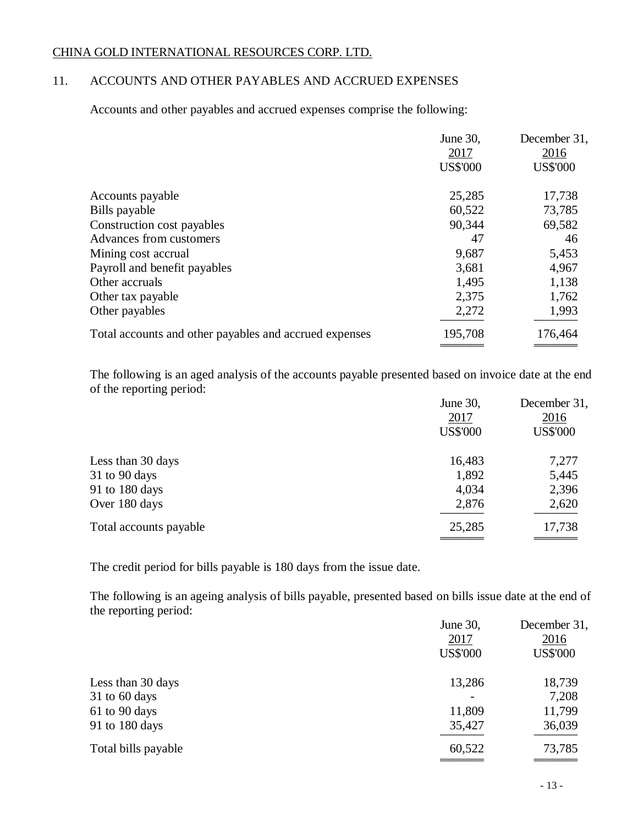# 11. ACCOUNTS AND OTHER PAYABLES AND ACCRUED EXPENSES

Accounts and other payables and accrued expenses comprise the following:

|                                                        | June 30,<br>2017<br><b>US\$'000</b> | December 31,<br>2016<br><b>US\$'000</b> |
|--------------------------------------------------------|-------------------------------------|-----------------------------------------|
| Accounts payable                                       | 25,285                              | 17,738                                  |
| Bills payable                                          | 60,522                              | 73,785                                  |
| Construction cost payables                             | 90,344                              | 69,582                                  |
| Advances from customers                                | 47                                  | 46                                      |
| Mining cost accrual                                    | 9,687                               | 5,453                                   |
| Payroll and benefit payables                           | 3,681                               | 4,967                                   |
| Other accruals                                         | 1,495                               | 1,138                                   |
| Other tax payable                                      | 2,375                               | 1,762                                   |
| Other payables                                         | 2,272                               | 1,993                                   |
| Total accounts and other payables and accrued expenses | 195,708                             | 176,464                                 |
|                                                        |                                     |                                         |

The following is an aged analysis of the accounts payable presented based on invoice date at the end of the reporting period:

|                        | June 30,        | December 31,    |
|------------------------|-----------------|-----------------|
|                        | 2017            | 2016            |
|                        | <b>US\$'000</b> | <b>US\$'000</b> |
| Less than 30 days      | 16,483          | 7,277           |
| $31$ to 90 days        | 1,892           | 5,445           |
| 91 to 180 days         | 4,034           | 2,396           |
| Over 180 days          | 2,876           | 2,620           |
| Total accounts payable | 25,285          | 17,738          |
|                        |                 |                 |

The credit period for bills payable is 180 days from the issue date.

The following is an ageing analysis of bills payable, presented based on bills issue date at the end of the reporting period:

|                     | June 30,        | December 31,    |
|---------------------|-----------------|-----------------|
|                     | 2017            | 2016            |
|                     | <b>US\$'000</b> | <b>US\$'000</b> |
| Less than 30 days   | 13,286          | 18,739          |
| $31$ to 60 days     |                 | 7,208           |
| 61 to 90 days       | 11,809          | 11,799          |
| 91 to 180 days      | 35,427          | 36,039          |
| Total bills payable | 60,522          | 73,785          |
|                     |                 |                 |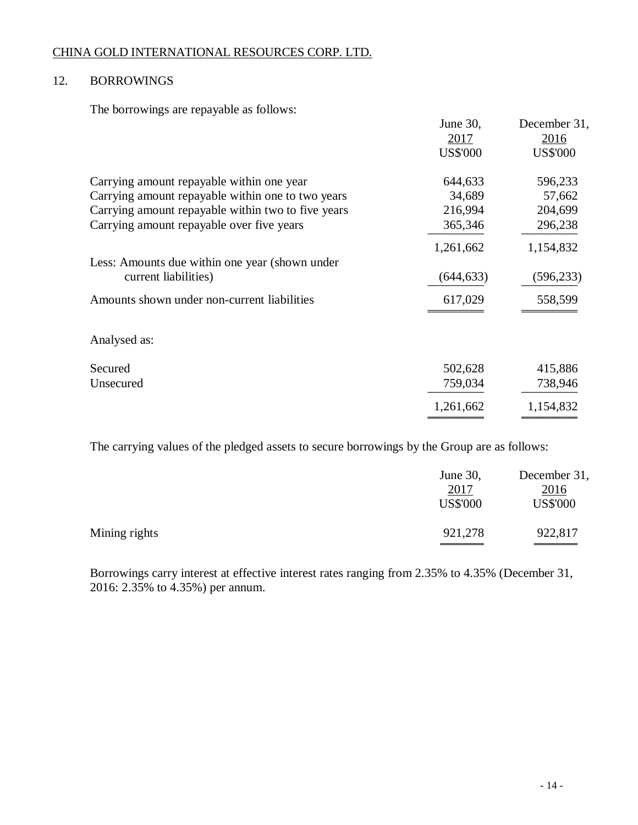## 12. BORROWINGS

The borrowings are repayable as follows:

|                                                    | June 30,        | December 31,    |
|----------------------------------------------------|-----------------|-----------------|
|                                                    | 2017            | 2016            |
|                                                    | <b>US\$'000</b> | <b>US\$'000</b> |
| Carrying amount repayable within one year          | 644,633         | 596,233         |
| Carrying amount repayable within one to two years  | 34,689          | 57,662          |
| Carrying amount repayable within two to five years | 216,994         | 204,699         |
| Carrying amount repayable over five years          | 365,346         | 296,238         |
|                                                    | 1,261,662       | 1,154,832       |
| Less: Amounts due within one year (shown under     |                 |                 |
| current liabilities)                               | (644, 633)      | (596, 233)      |
| Amounts shown under non-current liabilities        | 617,029         | 558,599         |
| Analysed as:                                       |                 |                 |
| Secured                                            | 502,628         | 415,886         |
| Unsecured                                          | 759,034         | 738,946         |
|                                                    | 1,261,662       | 1,154,832       |
|                                                    |                 |                 |

The carrying values of the pledged assets to secure borrowings by the Group are as follows:

|               | June $30$ ,<br>2017<br><b>US\$'000</b> | December 31,<br>2016<br><b>US\$'000</b> |
|---------------|----------------------------------------|-----------------------------------------|
| Mining rights | 921,278                                | 922,817                                 |

Borrowings carry interest at effective interest rates ranging from 2.35% to 4.35% (December 31, 2016: 2.35% to 4.35%) per annum.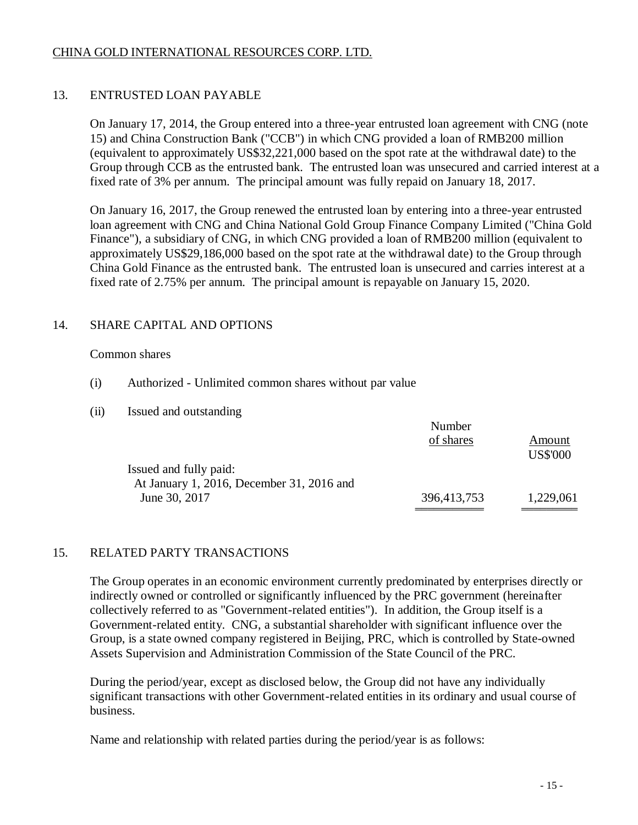# 13. ENTRUSTED LOAN PAYABLE

On January 17, 2014, the Group entered into a three-year entrusted loan agreement with CNG (note 15) and China Construction Bank ("CCB") in which CNG provided a loan of RMB200 million (equivalent to approximately US\$32,221,000 based on the spot rate at the withdrawal date) to the Group through CCB as the entrusted bank. The entrusted loan was unsecured and carried interest at a fixed rate of 3% per annum. The principal amount was fully repaid on January 18, 2017.

On January 16, 2017, the Group renewed the entrusted loan by entering into a three-year entrusted loan agreement with CNG and China National Gold Group Finance Company Limited ("China Gold Finance"), a subsidiary of CNG, in which CNG provided a loan of RMB200 million (equivalent to approximately US\$29,186,000 based on the spot rate at the withdrawal date) to the Group through China Gold Finance as the entrusted bank. The entrusted loan is unsecured and carries interest at a fixed rate of 2.75% per annum. The principal amount is repayable on January 15, 2020.

## 14. SHARE CAPITAL AND OPTIONS

## Common shares

- (i) Authorized Unlimited common shares without par value
- (ii) Issued and outstanding

|                                           | Number      |                 |
|-------------------------------------------|-------------|-----------------|
|                                           | of shares   | Amount          |
|                                           |             | <b>US\$'000</b> |
| Issued and fully paid:                    |             |                 |
| At January 1, 2016, December 31, 2016 and |             |                 |
| June 30, 2017                             | 396,413,753 | 1,229,061       |
|                                           |             |                 |

## 15. RELATED PARTY TRANSACTIONS

The Group operates in an economic environment currently predominated by enterprises directly or indirectly owned or controlled or significantly influenced by the PRC government (hereinafter collectively referred to as "Government-related entities"). In addition, the Group itself is a Government-related entity. CNG, a substantial shareholder with significant influence over the Group, is a state owned company registered in Beijing, PRC, which is controlled by State-owned Assets Supervision and Administration Commission of the State Council of the PRC.

During the period/year, except as disclosed below, the Group did not have any individually significant transactions with other Government-related entities in its ordinary and usual course of business.

Name and relationship with related parties during the period/year is as follows: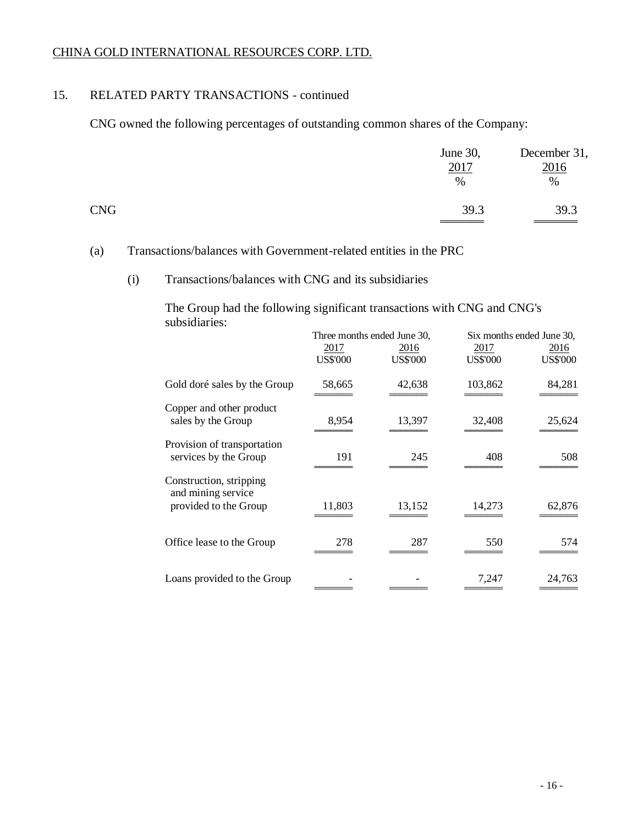## 15. RELATED PARTY TRANSACTIONS - continued

CNG owned the following percentages of outstanding common shares of the Company:

|            | June 30,<br>2017<br>$\%$ | December 31,<br>2016<br>$\%$ |
|------------|--------------------------|------------------------------|
| <b>CNG</b> | 39.3                     | 39.3                         |

## (a) Transactions/balances with Government-related entities in the PRC

## (i) Transactions/balances with CNG and its subsidiaries

The Group had the following significant transactions with CNG and CNG's subsidiaries:

|                                                                        | Three months ended June 30, |                         | Six months ended June 30, |                         |
|------------------------------------------------------------------------|-----------------------------|-------------------------|---------------------------|-------------------------|
|                                                                        | 2017<br><b>US\$'000</b>     | 2016<br><b>US\$'000</b> | 2017<br><b>US\$'000</b>   | 2016<br><b>US\$'000</b> |
| Gold doré sales by the Group                                           | 58,665                      | 42,638                  | 103,862                   | 84,281                  |
| Copper and other product<br>sales by the Group                         | 8,954                       | 13,397                  | 32,408                    | 25,624                  |
| Provision of transportation<br>services by the Group                   | 191                         | 245                     | 408                       | 508                     |
| Construction, stripping<br>and mining service<br>provided to the Group | 11,803                      | 13,152                  | 14.273                    | 62,876                  |
| Office lease to the Group                                              | 278                         | 287                     | 550                       | 574                     |
| Loans provided to the Group                                            |                             |                         | 7,247                     | 24,763                  |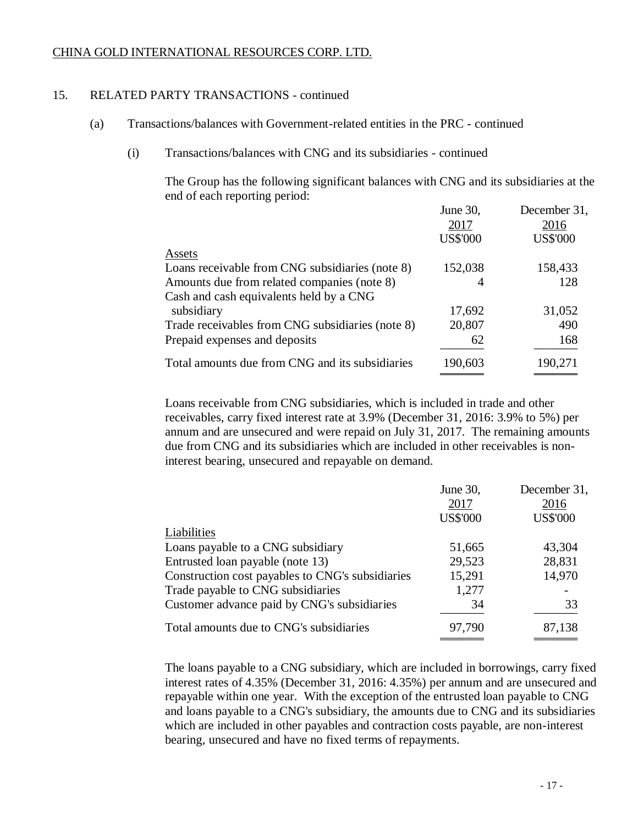## 15. RELATED PARTY TRANSACTIONS - continued

- (a) Transactions/balances with Government-related entities in the PRC continued
	- (i) Transactions/balances with CNG and its subsidiaries continued

The Group has the following significant balances with CNG and its subsidiaries at the end of each reporting period:

|                                                  | June 30,        | December 31,    |
|--------------------------------------------------|-----------------|-----------------|
|                                                  | 2017            | 2016            |
|                                                  | <b>US\$'000</b> | <b>US\$'000</b> |
| Assets                                           |                 |                 |
| Loans receivable from CNG subsidiaries (note 8)  | 152,038         | 158,433         |
| Amounts due from related companies (note 8)      | 4               | 128             |
| Cash and cash equivalents held by a CNG          |                 |                 |
| subsidiary                                       | 17,692          | 31,052          |
| Trade receivables from CNG subsidiaries (note 8) | 20,807          | 490             |
| Prepaid expenses and deposits                    | 62              | 168             |
| Total amounts due from CNG and its subsidiaries  | 190,603         | 190,271         |
|                                                  |                 |                 |

Loans receivable from CNG subsidiaries, which is included in trade and other receivables, carry fixed interest rate at 3.9% (December 31, 2016: 3.9% to 5%) per annum and are unsecured and were repaid on July 31, 2017. The remaining amounts due from CNG and its subsidiaries which are included in other receivables is noninterest bearing, unsecured and repayable on demand.

|                                                  | June 30,        | December 31,    |
|--------------------------------------------------|-----------------|-----------------|
|                                                  | 2017            | 2016            |
|                                                  | <b>US\$'000</b> | <b>US\$'000</b> |
| Liabilities                                      |                 |                 |
| Loans payable to a CNG subsidiary                | 51,665          | 43,304          |
| Entrusted loan payable (note 13)                 | 29,523          | 28,831          |
| Construction cost payables to CNG's subsidiaries | 15,291          | 14,970          |
| Trade payable to CNG subsidiaries                | 1,277           |                 |
| Customer advance paid by CNG's subsidiaries      | 34              | 33              |
| Total amounts due to CNG's subsidiaries          | 97,790          | 87,138          |
|                                                  |                 |                 |

The loans payable to a CNG subsidiary, which are included in borrowings, carry fixed interest rates of 4.35% (December 31, 2016: 4.35%) per annum and are unsecured and repayable within one year. With the exception of the entrusted loan payable to CNG and loans payable to a CNG's subsidiary, the amounts due to CNG and its subsidiaries which are included in other payables and contraction costs payable, are non-interest bearing, unsecured and have no fixed terms of repayments.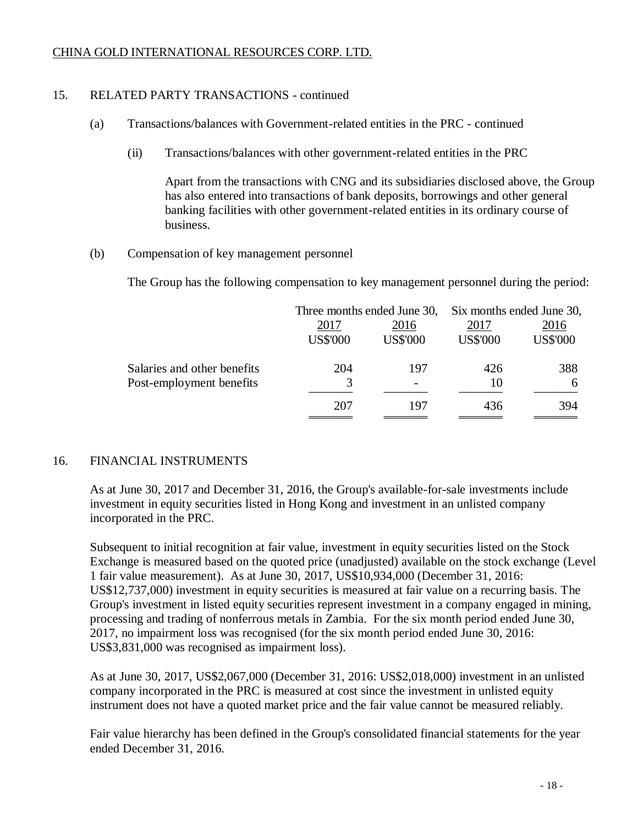## 15. RELATED PARTY TRANSACTIONS - continued

- (a) Transactions/balances with Government-related entities in the PRC continued
	- (ii) Transactions/balances with other government-related entities in the PRC

Apart from the transactions with CNG and its subsidiaries disclosed above, the Group has also entered into transactions of bank deposits, borrowings and other general banking facilities with other government-related entities in its ordinary course of business.

(b) Compensation of key management personnel

The Group has the following compensation to key management personnel during the period:

| Three months ended June 30, |                         | Six months ended June 30, |                         |
|-----------------------------|-------------------------|---------------------------|-------------------------|
| 2017<br><b>US\$'000</b>     | 2016<br><b>US\$'000</b> | 2017<br><b>US\$'000</b>   | 2016<br><b>US\$'000</b> |
| 204                         | 197                     | 426                       | 388                     |
| 3                           |                         | 10                        | 6                       |
| 207                         | 197                     | 436                       | 394                     |
|                             |                         |                           |                         |

## 16. FINANCIAL INSTRUMENTS

As at June 30, 2017 and December 31, 2016, the Group's available-for-sale investments include investment in equity securities listed in Hong Kong and investment in an unlisted company incorporated in the PRC.

Subsequent to initial recognition at fair value, investment in equity securities listed on the Stock Exchange is measured based on the quoted price (unadjusted) available on the stock exchange (Level 1 fair value measurement). As at June 30, 2017, US\$10,934,000 (December 31, 2016: US\$12,737,000) investment in equity securities is measured at fair value on a recurring basis. The Group's investment in listed equity securities represent investment in a company engaged in mining, processing and trading of nonferrous metals in Zambia. For the six month period ended June 30, 2017, no impairment loss was recognised (for the six month period ended June 30, 2016: US\$3,831,000 was recognised as impairment loss).

As at June 30, 2017, US\$2,067,000 (December 31, 2016: US\$2,018,000) investment in an unlisted company incorporated in the PRC is measured at cost since the investment in unlisted equity instrument does not have a quoted market price and the fair value cannot be measured reliably.

Fair value hierarchy has been defined in the Group's consolidated financial statements for the year ended December 31, 2016.